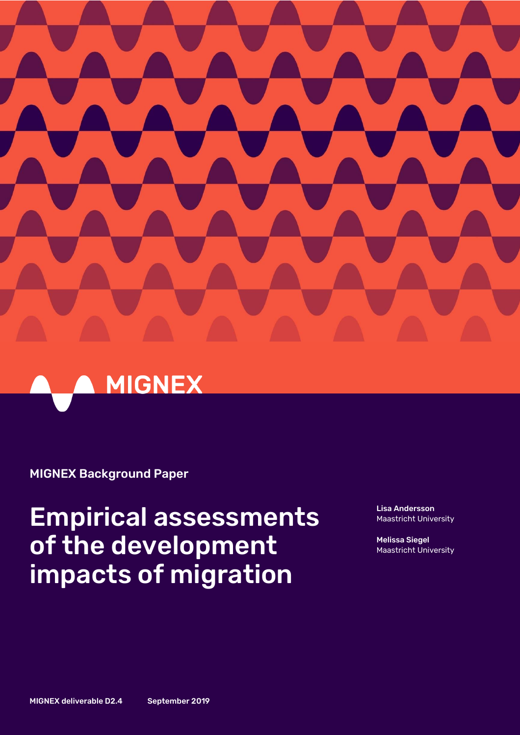



# MIGNEX Background Paper

# Empirical assessments of the development impacts of migration

Lisa Andersson Maastricht University

Melissa Siegel Maastricht University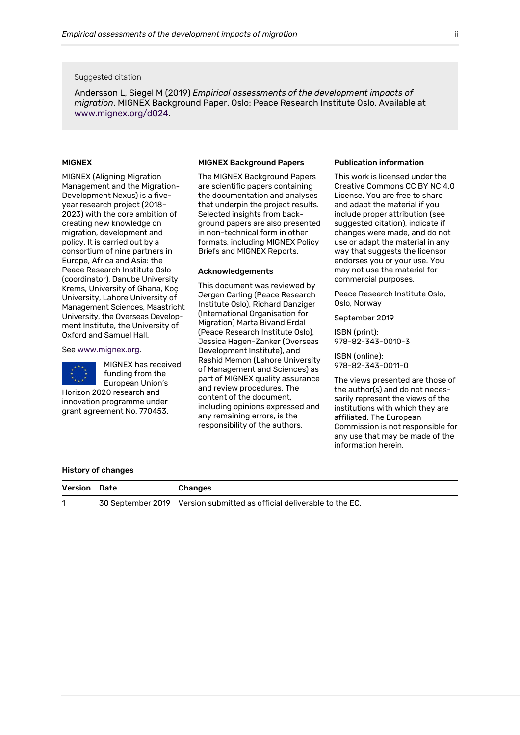#### Suggested citation

Andersson L, Siegel M (2019) *Empirical assessments of the development impacts of migration*. MIGNEX Background Paper. Oslo: Peace Research Institute Oslo. Available at [www.mignex.org/d024.](http://www.mignex.org/d024)

#### MIGNEX

MIGNEX (Aligning Migration Management and the Migration-Development Nexus) is a fiveyear research project (2018– 2023) with the core ambition of creating new knowledge on migration, development and policy. It is carried out by a consortium of nine partners in Europe, Africa and Asia: the Peace Research Institute Oslo (coordinator), Danube University Krems, University of Ghana, Koç University, Lahore University of Management Sciences, Maastricht University, the Overseas Development Institute, the University of Oxford and Samuel Hall.

#### See [www.mignex.org.](http://www.mignex.org/)



MIGNEX has received funding from the European Union's

Horizon 2020 research and innovation programme under grant agreement No. 770453.

#### MIGNEX Background Papers

The MIGNEX Background Papers are scientific papers containing the documentation and analyses that underpin the project results. Selected insights from background papers are also presented in non-technical form in other formats, including MIGNEX Policy Briefs and MIGNEX Reports.

#### Acknowledgements

This document was reviewed by Jørgen Carling (Peace Research Institute Oslo), Richard Danziger (International Organisation for Migration) Marta Bivand Erdal (Peace Research Institute Oslo), Jessica Hagen-Zanker (Overseas Development Institute), and Rashid Memon (Lahore University of Management and Sciences) as part of MIGNEX quality assurance and review procedures. The content of the document, including opinions expressed and any remaining errors, is the responsibility of the authors.

#### Publication information

This work is licensed under the Creative Commons CC BY NC 4.0 License. You are free to share and adapt the material if you include proper attribution (see suggested citation), indicate if changes were made, and do not use or adapt the material in any way that suggests the licensor endorses you or your use. You may not use the material for commercial purposes.

Peace Research Institute Oslo, Oslo, Norway

September 2019

ISBN (print): 978-82-343-0010-3

ISBN (online): 978-82-343-0011-0

The views presented are those of the author(s) and do not necessarily represent the views of the institutions with which they are affiliated. The European Commission is not responsible for any use that may be made of the information herein.

#### History of changes

| Version | Date | <b>Changes</b>                                                         |
|---------|------|------------------------------------------------------------------------|
|         |      | 30 September 2019 Version submitted as official deliverable to the EC. |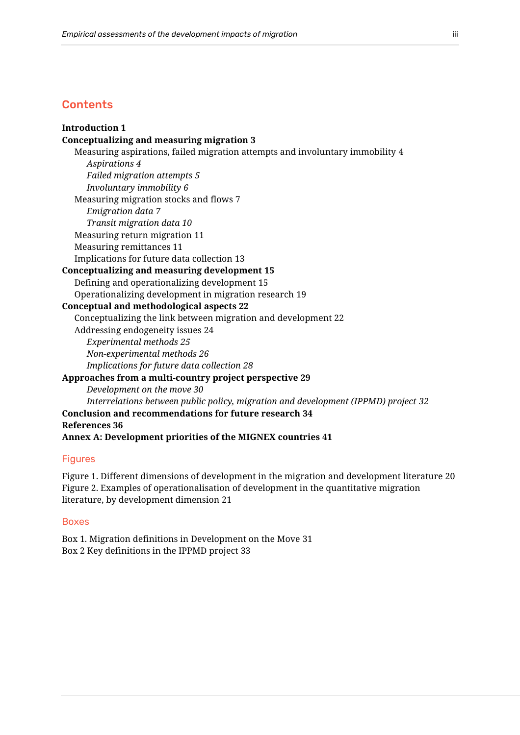# **Contents**

**[Introduction](#page-3-0) 1 [Conceptualizing and measuring migration](#page-5-0) 3** [Measuring aspirations, failed migration attempts and involuntary immobility](#page-6-0) 4 *[Aspirations](#page-6-1) 4 [Failed migration attempts](#page-7-0) 5 [Involuntary immobility](#page-8-0) 6* [Measuring migration stocks and flows](#page-9-0) 7 *[Emigration data](#page-9-1) 7 [Transit migration data](#page-12-0) 10* [Measuring return migration](#page-13-0) 11 [Measuring remittances](#page-13-1) 11 [Implications for future data collection](#page-15-0) 13 **[Conceptualizing and measuring development](#page-17-0) 15** [Defining and operationalizing development](#page-17-1) 15 [Operationalizing development in migration research](#page-21-0) 19 **[Conceptual and methodological aspects](#page-24-0) 22** [Conceptualizing the link between migration and development](#page-24-1) 22 [Addressing endogeneity issues](#page-26-0) 24 *[Experimental methods](#page-27-0) 25 [Non-experimental methods](#page-28-0) 26 [Implications for future data collection](#page-30-0) 28* **[Approaches from a multi-country project perspective](#page-31-0) 29** *[Development on the move](#page-32-0) 30 [Interrelations between public policy, migration and development \(IPPMD\) project](#page-34-0) 32* **[Conclusion and recommendations for future research](#page-36-0) 34 [References](#page-38-0) 36 [Annex A: Development priorities of the MIGNEX countries](#page-43-0) 41**

## Figures

[Figure 1. Different dimensions of development in the migration and development literature](#page-22-0) 20 [Figure 2. Examples of operationalisation of development in the quantitative migration](#page-23-0)  [literature, by development dimension](#page-23-0) 21

#### Boxes

[Box 1. Migration definitions in Development on the Move](#page-33-0) 31 Box 2 [Key definitions in the IPPMD project](#page-34-1) 33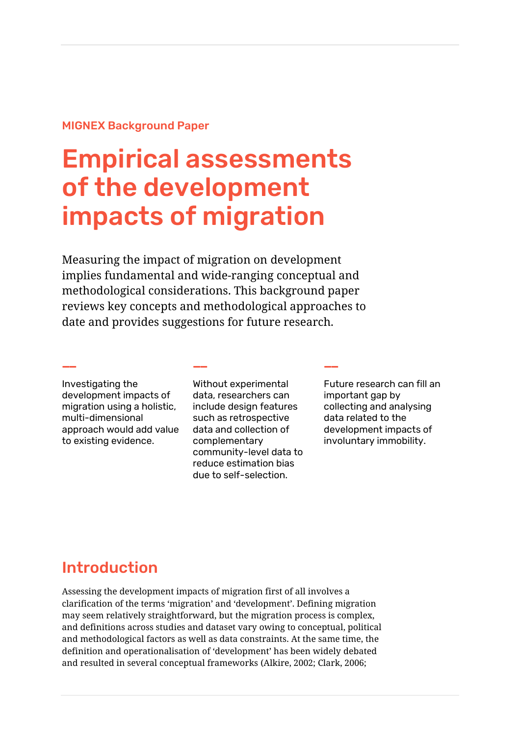# MIGNEX Background Paper

# Empirical assessments of the development impacts of migration

Measuring the impact of migration on development implies fundamental and wide-ranging conceptual and methodological considerations. This background paper reviews key concepts and methodological approaches to date and provides suggestions for future research.

**—— —— ——**

Investigating the development impacts of migration using a holistic, multi-dimensional approach would add value to existing evidence.

Without experimental data, researchers can include design features such as retrospective data and collection of complementary community-level data to reduce estimation bias due to self-selection.

Future research can fill an important gap by collecting and analysing data related to the development impacts of involuntary immobility.

# <span id="page-3-0"></span>Introduction

Assessing the development impacts of migration first of all involves a clarification of the terms 'migration' and 'development'. Defining migration may seem relatively straightforward, but the migration process is complex, and definitions across studies and dataset vary owing to conceptual, political and methodological factors as well as data constraints. At the same time, the definition and operationalisation of 'development' has been widely debated and resulted in several conceptual frameworks (Alkire, 2002; Clark, 2006;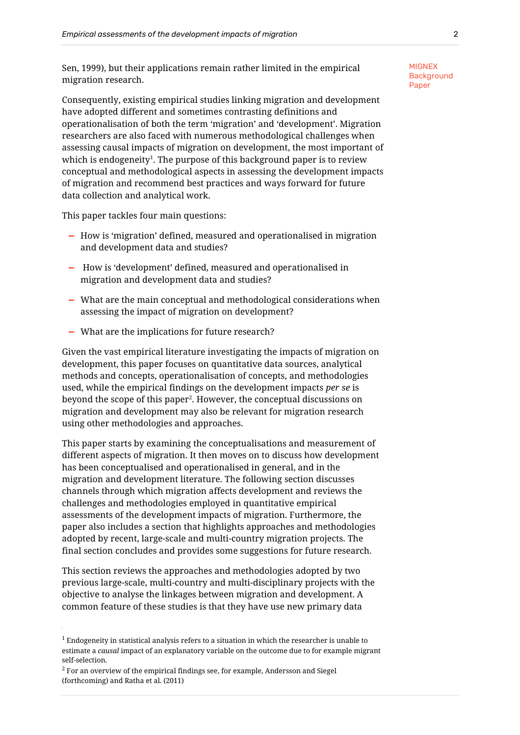Sen, 1999), but their applications remain rather limited in the empirical migration research.

Consequently, existing empirical studies linking migration and development have adopted different and sometimes contrasting definitions and operationalisation of both the term 'migration' and 'development'. Migration researchers are also faced with numerous methodological challenges when assessing causal impacts of migration on development, the most important of which is endogeneity $^{\scriptscriptstyle 1}$ . The purpose of this background paper is to review conceptual and methodological aspects in assessing the development impacts of migration and recommend best practices and ways forward for future data collection and analytical work.

This paper tackles four main questions:

- **—** How is 'migration' defined, measured and operationalised in migration and development data and studies?
- **—** How is 'development' defined, measured and operationalised in migration and development data and studies?
- **—** What are the main conceptual and methodological considerations when assessing the impact of migration on development?
- **—** What are the implications for future research?

Given the vast empirical literature investigating the impacts of migration on development, this paper focuses on quantitative data sources, analytical methods and concepts, operationalisation of concepts, and methodologies used, while the empirical findings on the development impacts *per se* is beyond the scope of this paper<sup>2</sup>. However, the conceptual discussions on migration and development may also be relevant for migration research using other methodologies and approaches.

This paper starts by examining the conceptualisations and measurement of different aspects of migration. It then moves on to discuss how development has been conceptualised and operationalised in general, and in the migration and development literature. The following section discusses channels through which migration affects development and reviews the challenges and methodologies employed in quantitative empirical assessments of the development impacts of migration. Furthermore, the paper also includes a section that highlights approaches and methodologies adopted by recent, large-scale and multi-country migration projects. The final section concludes and provides some suggestions for future research.

This section reviews the approaches and methodologies adopted by two previous large-scale, multi-country and multi-disciplinary projects with the objective to analyse the linkages between migration and development. A common feature of these studies is that they have use new primary data

 $^1$  Endogeneity in statistical analysis refers to a situation in which the researcher is unable to estimate a *causal* impact of an explanatory variable on the outcome due to for example migrant self-selection.

 $2$  For an overview of the empirical findings see, for example, Andersson and Siegel (forthcoming) and Ratha et al. (2011)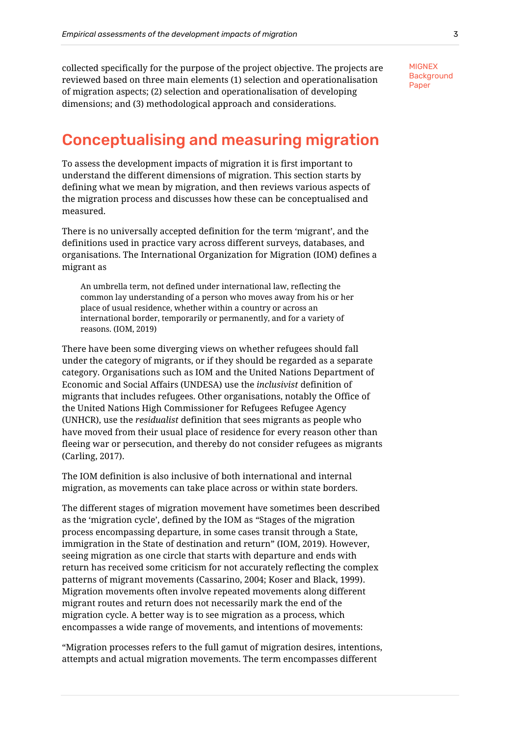collected specifically for the purpose of the project objective. The projects are reviewed based on three main elements (1) selection and operationalisation of migration aspects; (2) selection and operationalisation of developing dimensions; and (3) methodological approach and considerations.

**MIGNEX Background** Paper

# <span id="page-5-0"></span>Conceptualising and measuring migration

To assess the development impacts of migration it is first important to understand the different dimensions of migration. This section starts by defining what we mean by migration, and then reviews various aspects of the migration process and discusses how these can be conceptualised and measured.

There is no universally accepted definition for the term 'migrant', and the definitions used in practice vary across different surveys, databases, and organisations. The International Organization for Migration (IOM) defines a migrant as

An umbrella term, not defined under international law, reflecting the common lay understanding of a person who moves away from his or her place of usual residence, whether within a country or across an international border, temporarily or permanently, and for a variety of reasons. (IOM, 2019)

There have been some diverging views on whether refugees should fall under the category of migrants, or if they should be regarded as a separate category. Organisations such as IOM and the United Nations Department of Economic and Social Affairs (UNDESA) use the *inclusivist* definition of migrants that includes refugees. Other organisations, notably the Office of the United Nations High Commissioner for Refugees Refugee Agency (UNHCR), use the *residualist* definition that sees migrants as people who have moved from their usual place of residence for every reason other than fleeing war or persecution, and thereby do not consider refugees as migrants (Carling, 2017).

The IOM definition is also inclusive of both international and internal migration, as movements can take place across or within state borders.

The different stages of migration movement have sometimes been described as the 'migration cycle', defined by the IOM as "Stages of the migration process encompassing departure, in some cases transit through a State, immigration in the State of destination and return" (IOM, 2019). However, seeing migration as one circle that starts with departure and ends with return has received some criticism for not accurately reflecting the complex patterns of migrant movements (Cassarino, 2004; Koser and Black, 1999). Migration movements often involve repeated movements along different migrant routes and return does not necessarily mark the end of the migration cycle. A better way is to see migration as a process, which encompasses a wide range of movements, and intentions of movements:

"Migration processes refers to the full gamut of migration desires, intentions, attempts and actual migration movements. The term encompasses different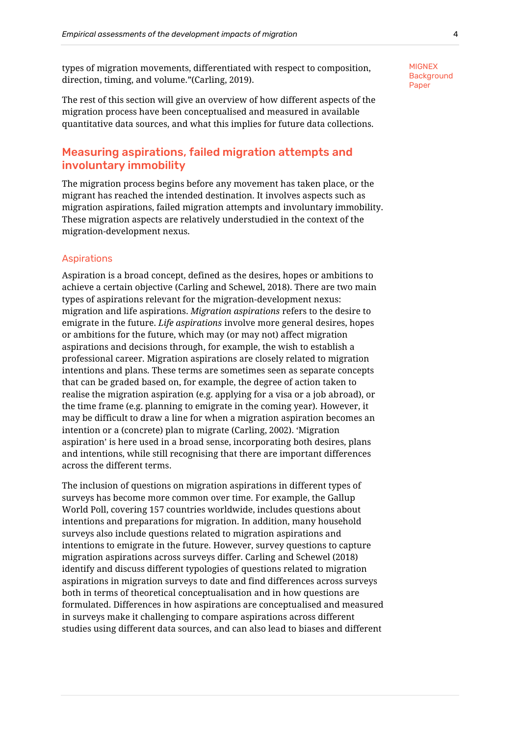types of migration movements, differentiated with respect to composition, direction, timing, and volume."(Carling, 2019).

The rest of this section will give an overview of how different aspects of the migration process have been conceptualised and measured in available quantitative data sources, and what this implies for future data collections.

# <span id="page-6-0"></span>Measuring aspirations, failed migration attempts and involuntary immobility

The migration process begins before any movement has taken place, or the migrant has reached the intended destination. It involves aspects such as migration aspirations, failed migration attempts and involuntary immobility. These migration aspects are relatively understudied in the context of the migration-development nexus.

#### <span id="page-6-1"></span>Aspirations

Aspiration is a broad concept, defined as the desires, hopes or ambitions to achieve a certain objective (Carling and Schewel, 2018). There are two main types of aspirations relevant for the migration-development nexus: migration and life aspirations. *Migration aspirations* refers to the desire to emigrate in the future. *Life aspirations* involve more general desires, hopes or ambitions for the future, which may (or may not) affect migration aspirations and decisions through, for example, the wish to establish a professional career. Migration aspirations are closely related to migration intentions and plans. These terms are sometimes seen as separate concepts that can be graded based on, for example, the degree of action taken to realise the migration aspiration (e.g. applying for a visa or a job abroad), or the time frame (e.g. planning to emigrate in the coming year). However, it may be difficult to draw a line for when a migration aspiration becomes an intention or a (concrete) plan to migrate (Carling, 2002). 'Migration aspiration' is here used in a broad sense, incorporating both desires, plans and intentions, while still recognising that there are important differences across the different terms.

The inclusion of questions on migration aspirations in different types of surveys has become more common over time. For example, the Gallup World Poll, covering 157 countries worldwide, includes questions about intentions and preparations for migration. In addition, many household surveys also include questions related to migration aspirations and intentions to emigrate in the future. However, survey questions to capture migration aspirations across surveys differ. Carling and Schewel (2018) identify and discuss different typologies of questions related to migration aspirations in migration surveys to date and find differences across surveys both in terms of theoretical conceptualisation and in how questions are formulated. Differences in how aspirations are conceptualised and measured in surveys make it challenging to compare aspirations across different studies using different data sources, and can also lead to biases and different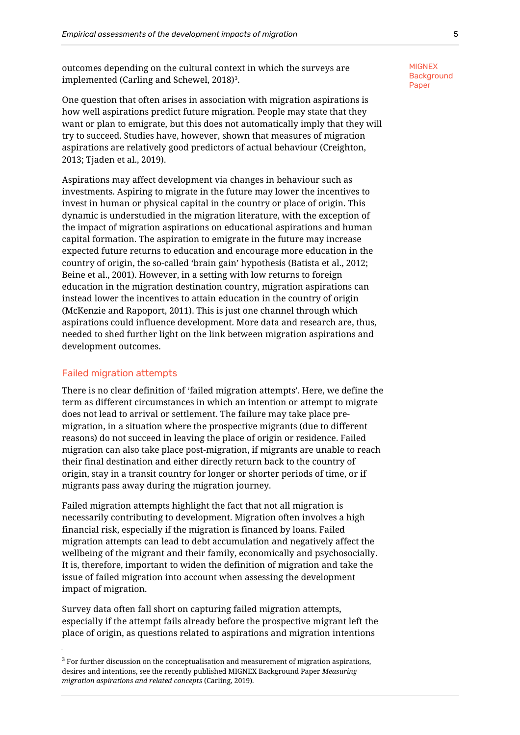outcomes depending on the cultural context in which the surveys are implemented (Carling and Schewel, 2018) $^{\rm 3}$ .

One question that often arises in association with migration aspirations is how well aspirations predict future migration. People may state that they want or plan to emigrate, but this does not automatically imply that they will try to succeed. Studies have, however, shown that measures of migration aspirations are relatively good predictors of actual behaviour (Creighton, 2013; Tjaden et al., 2019).

Aspirations may affect development via changes in behaviour such as investments. Aspiring to migrate in the future may lower the incentives to invest in human or physical capital in the country or place of origin. This dynamic is understudied in the migration literature, with the exception of the impact of migration aspirations on educational aspirations and human capital formation. The aspiration to emigrate in the future may increase expected future returns to education and encourage more education in the country of origin, the so-called 'brain gain' hypothesis (Batista et al., 2012; Beine et al., 2001). However, in a setting with low returns to foreign education in the migration destination country, migration aspirations can instead lower the incentives to attain education in the country of origin (McKenzie and Rapoport, 2011). This is just one channel through which aspirations could influence development. More data and research are, thus, needed to shed further light on the link between migration aspirations and development outcomes.

#### <span id="page-7-0"></span>Failed migration attempts

There is no clear definition of 'failed migration attempts'. Here, we define the term as different circumstances in which an intention or attempt to migrate does not lead to arrival or settlement. The failure may take place premigration, in a situation where the prospective migrants (due to different reasons) do not succeed in leaving the place of origin or residence. Failed migration can also take place post-migration, if migrants are unable to reach their final destination and either directly return back to the country of origin, stay in a transit country for longer or shorter periods of time, or if migrants pass away during the migration journey.

Failed migration attempts highlight the fact that not all migration is necessarily contributing to development. Migration often involves a high financial risk, especially if the migration is financed by loans. Failed migration attempts can lead to debt accumulation and negatively affect the wellbeing of the migrant and their family, economically and psychosocially. It is, therefore, important to widen the definition of migration and take the issue of failed migration into account when assessing the development impact of migration.

Survey data often fall short on capturing failed migration attempts, especially if the attempt fails already before the prospective migrant left the place of origin, as questions related to aspirations and migration intentions

<sup>&</sup>lt;sup>3</sup> For further discussion on the conceptualisation and measurement of migration aspirations, desires and intentions, see the recently published MIGNEX Background Paper *Measuring migration aspirations and related concepts* (Carling, 2019).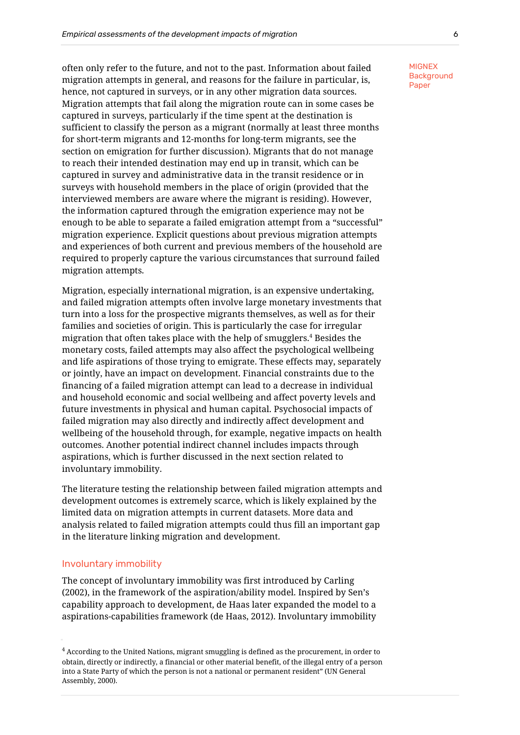often only refer to the future, and not to the past. Information about failed migration attempts in general, and reasons for the failure in particular, is, hence, not captured in surveys, or in any other migration data sources. Migration attempts that fail along the migration route can in some cases be captured in surveys, particularly if the time spent at the destination is sufficient to classify the person as a migrant (normally at least three months for short-term migrants and 12-months for long-term migrants, see the section on emigration for further discussion). Migrants that do not manage to reach their intended destination may end up in transit, which can be captured in survey and administrative data in the transit residence or in surveys with household members in the place of origin (provided that the interviewed members are aware where the migrant is residing). However, the information captured through the emigration experience may not be enough to be able to separate a failed emigration attempt from a "successful" migration experience. Explicit questions about previous migration attempts and experiences of both current and previous members of the household are required to properly capture the various circumstances that surround failed migration attempts.

Migration, especially international migration, is an expensive undertaking, and failed migration attempts often involve large monetary investments that turn into a loss for the prospective migrants themselves, as well as for their families and societies of origin. This is particularly the case for irregular migration that often takes place with the help of smugglers. <sup>4</sup> Besides the monetary costs, failed attempts may also affect the psychological wellbeing and life aspirations of those trying to emigrate. These effects may, separately or jointly, have an impact on development. Financial constraints due to the financing of a failed migration attempt can lead to a decrease in individual and household economic and social wellbeing and affect poverty levels and future investments in physical and human capital. Psychosocial impacts of failed migration may also directly and indirectly affect development and wellbeing of the household through, for example, negative impacts on health outcomes. Another potential indirect channel includes impacts through aspirations, which is further discussed in the next section related to involuntary immobility.

The literature testing the relationship between failed migration attempts and development outcomes is extremely scarce, which is likely explained by the limited data on migration attempts in current datasets. More data and analysis related to failed migration attempts could thus fill an important gap in the literature linking migration and development.

#### <span id="page-8-0"></span>Involuntary immobility

The concept of involuntary immobility was first introduced by Carling (2002), in the framework of the aspiration/ability model. Inspired by Sen's capability approach to development, de Haas later expanded the model to a aspirations-capabilities framework (de Haas, 2012). Involuntary immobility

 $4$  According to the United Nations, migrant smuggling is defined as the procurement, in order to obtain, directly or indirectly, a financial or other material benefit, of the illegal entry of a person into a State Party of which the person is not a national or permanent resident" (UN General Assembly, 2000).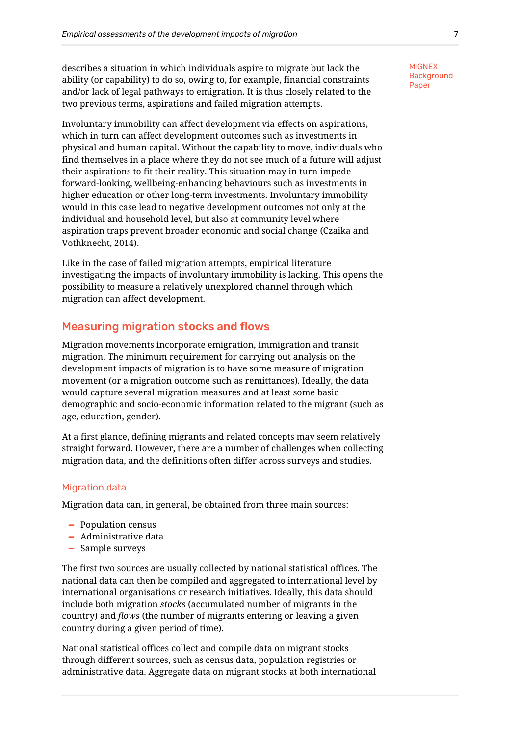describes a situation in which individuals aspire to migrate but lack the ability (or capability) to do so, owing to, for example, financial constraints and/or lack of legal pathways to emigration. It is thus closely related to the two previous terms, aspirations and failed migration attempts.

Involuntary immobility can affect development via effects on aspirations, which in turn can affect development outcomes such as investments in physical and human capital. Without the capability to move, individuals who find themselves in a place where they do not see much of a future will adjust their aspirations to fit their reality. This situation may in turn impede forward-looking, wellbeing-enhancing behaviours such as investments in higher education or other long-term investments. Involuntary immobility would in this case lead to negative development outcomes not only at the individual and household level, but also at community level where aspiration traps prevent broader economic and social change (Czaika and Vothknecht, 2014).

Like in the case of failed migration attempts, empirical literature investigating the impacts of involuntary immobility is lacking. This opens the possibility to measure a relatively unexplored channel through which migration can affect development.

## <span id="page-9-0"></span>Measuring migration stocks and flows

Migration movements incorporate emigration, immigration and transit migration. The minimum requirement for carrying out analysis on the development impacts of migration is to have some measure of migration movement (or a migration outcome such as remittances). Ideally, the data would capture several migration measures and at least some basic demographic and socio-economic information related to the migrant (such as age, education, gender).

At a first glance, defining migrants and related concepts may seem relatively straight forward. However, there are a number of challenges when collecting migration data, and the definitions often differ across surveys and studies.

#### <span id="page-9-1"></span>Migration data

Migration data can, in general, be obtained from three main sources:

- **—** Population census
- **—** Administrative data
- **—** Sample surveys

The first two sources are usually collected by national statistical offices. The national data can then be compiled and aggregated to international level by international organisations or research initiatives. Ideally, this data should include both migration *stocks* (accumulated number of migrants in the country) and *flows* (the number of migrants entering or leaving a given country during a given period of time).

National statistical offices collect and compile data on migrant stocks through different sources, such as census data, population registries or administrative data. Aggregate data on migrant stocks at both international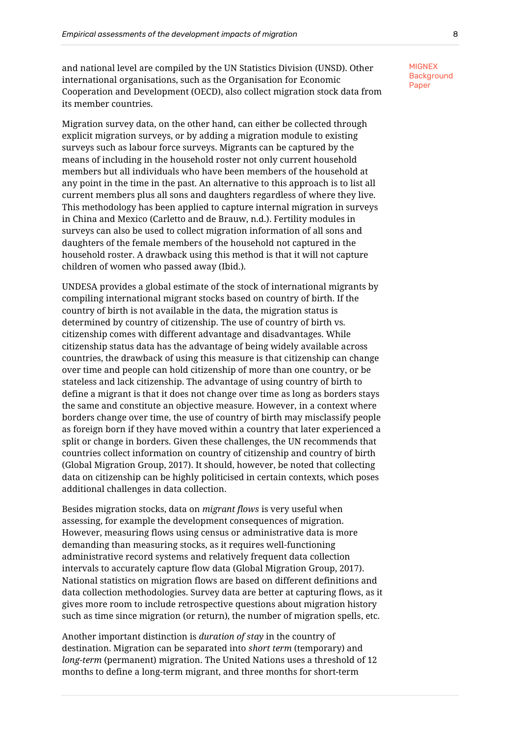and national level are compiled by the UN Statistics Division (UNSD). Other international organisations, such as the Organisation for Economic Cooperation and Development (OECD), also collect migration stock data from its member countries.

Migration survey data, on the other hand, can either be collected through explicit migration surveys, or by adding a migration module to existing surveys such as labour force surveys. Migrants can be captured by the means of including in the household roster not only current household members but all individuals who have been members of the household at any point in the time in the past. An alternative to this approach is to list all current members plus all sons and daughters regardless of where they live. This methodology has been applied to capture internal migration in surveys in China and Mexico (Carletto and de Brauw, n.d.). Fertility modules in surveys can also be used to collect migration information of all sons and daughters of the female members of the household not captured in the household roster. A drawback using this method is that it will not capture children of women who passed away (Ibid.).

UNDESA provides a global estimate of the stock of international migrants by compiling international migrant stocks based on country of birth. If the country of birth is not available in the data, the migration status is determined by country of citizenship. The use of country of birth vs. citizenship comes with different advantage and disadvantages. While citizenship status data has the advantage of being widely available across countries, the drawback of using this measure is that citizenship can change over time and people can hold citizenship of more than one country, or be stateless and lack citizenship. The advantage of using country of birth to define a migrant is that it does not change over time as long as borders stays the same and constitute an objective measure. However, in a context where borders change over time, the use of country of birth may misclassify people as foreign born if they have moved within a country that later experienced a split or change in borders. Given these challenges, the UN recommends that countries collect information on country of citizenship and country of birth (Global Migration Group, 2017). It should, however, be noted that collecting data on citizenship can be highly politicised in certain contexts, which poses additional challenges in data collection.

Besides migration stocks, data on *migrant flows* is very useful when assessing, for example the development consequences of migration. However, measuring flows using census or administrative data is more demanding than measuring stocks, as it requires well-functioning administrative record systems and relatively frequent data collection intervals to accurately capture flow data (Global Migration Group, 2017). National statistics on migration flows are based on different definitions and data collection methodologies. Survey data are better at capturing flows, as it gives more room to include retrospective questions about migration history such as time since migration (or return), the number of migration spells, etc.

Another important distinction is *duration of stay* in the country of destination. Migration can be separated into *short term* (temporary) and *long-term* (permanent) migration. The United Nations uses a threshold of 12 months to define a long-term migrant, and three months for short-term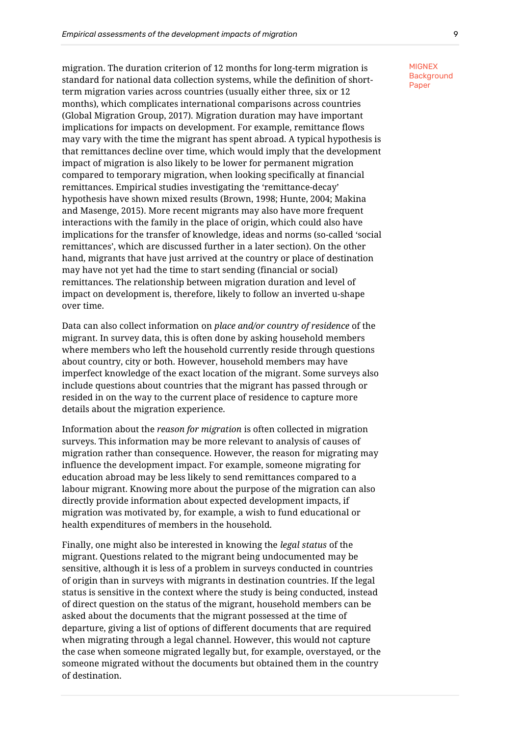migration. The duration criterion of 12 months for long-term migration is standard for national data collection systems, while the definition of shortterm migration varies across countries (usually either three, six or 12 months), which complicates international comparisons across countries (Global Migration Group, 2017). Migration duration may have important implications for impacts on development. For example, remittance flows may vary with the time the migrant has spent abroad. A typical hypothesis is that remittances decline over time, which would imply that the development impact of migration is also likely to be lower for permanent migration compared to temporary migration, when looking specifically at financial remittances. Empirical studies investigating the 'remittance-decay' hypothesis have shown mixed results (Brown, 1998; Hunte, 2004; Makina and Masenge, 2015). More recent migrants may also have more frequent interactions with the family in the place of origin, which could also have implications for the transfer of knowledge, ideas and norms (so-called 'social remittances', which are discussed further in a later section). On the other hand, migrants that have just arrived at the country or place of destination may have not yet had the time to start sending (financial or social) remittances. The relationship between migration duration and level of impact on development is, therefore, likely to follow an inverted u-shape over time.

Data can also collect information on *place and/or country of residence* of the migrant. In survey data, this is often done by asking household members where members who left the household currently reside through questions about country, city or both. However, household members may have imperfect knowledge of the exact location of the migrant. Some surveys also include questions about countries that the migrant has passed through or resided in on the way to the current place of residence to capture more details about the migration experience.

Information about the *reason for migration* is often collected in migration surveys. This information may be more relevant to analysis of causes of migration rather than consequence. However, the reason for migrating may influence the development impact. For example, someone migrating for education abroad may be less likely to send remittances compared to a labour migrant. Knowing more about the purpose of the migration can also directly provide information about expected development impacts, if migration was motivated by, for example, a wish to fund educational or health expenditures of members in the household.

Finally, one might also be interested in knowing the *legal status* of the migrant. Questions related to the migrant being undocumented may be sensitive, although it is less of a problem in surveys conducted in countries of origin than in surveys with migrants in destination countries. If the legal status is sensitive in the context where the study is being conducted, instead of direct question on the status of the migrant, household members can be asked about the documents that the migrant possessed at the time of departure, giving a list of options of different documents that are required when migrating through a legal channel. However, this would not capture the case when someone migrated legally but, for example, overstayed, or the someone migrated without the documents but obtained them in the country of destination.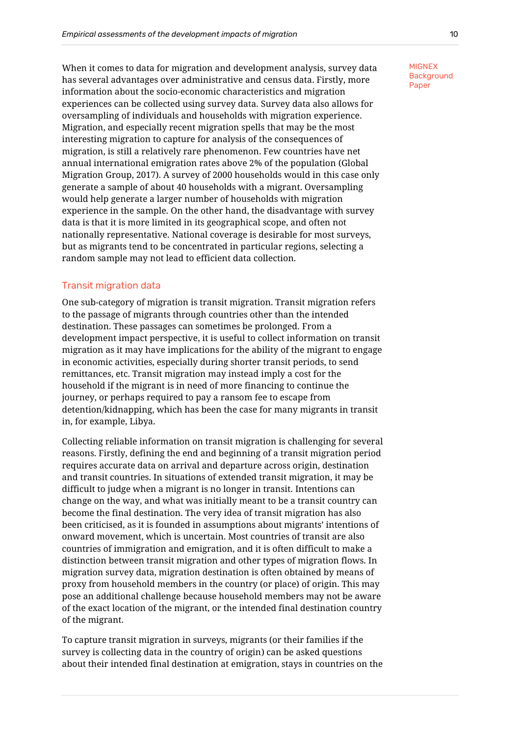When it comes to data for migration and development analysis, survey data has several advantages over administrative and census data. Firstly, more information about the socio-economic characteristics and migration experiences can be collected using survey data. Survey data also allows for oversampling of individuals and households with migration experience. Migration, and especially recent migration spells that may be the most interesting migration to capture for analysis of the consequences of migration, is still a relatively rare phenomenon. Few countries have net annual international emigration rates above 2% of the population (Global Migration Group, 2017). A survey of 2000 households would in this case only generate a sample of about 40 households with a migrant. Oversampling would help generate a larger number of households with migration experience in the sample. On the other hand, the disadvantage with survey data is that it is more limited in its geographical scope, and often not nationally representative. National coverage is desirable for most surveys, but as migrants tend to be concentrated in particular regions, selecting a random sample may not lead to efficient data collection.

## <span id="page-12-0"></span>Transit migration data

One sub-category of migration is transit migration. Transit migration refers to the passage of migrants through countries other than the intended destination. These passages can sometimes be prolonged. From a development impact perspective, it is useful to collect information on transit migration as it may have implications for the ability of the migrant to engage in economic activities, especially during shorter transit periods, to send remittances, etc. Transit migration may instead imply a cost for the household if the migrant is in need of more financing to continue the journey, or perhaps required to pay a ransom fee to escape from detention/kidnapping, which has been the case for many migrants in transit in, for example, Libya.

Collecting reliable information on transit migration is challenging for several reasons. Firstly, defining the end and beginning of a transit migration period requires accurate data on arrival and departure across origin, destination and transit countries. In situations of extended transit migration, it may be difficult to judge when a migrant is no longer in transit. Intentions can change on the way, and what was initially meant to be a transit country can become the final destination. The very idea of transit migration has also been criticised, as it is founded in assumptions about migrants' intentions of onward movement, which is uncertain. Most countries of transit are also countries of immigration and emigration, and it is often difficult to make a distinction between transit migration and other types of migration flows. In migration survey data, migration destination is often obtained by means of proxy from household members in the country (or place) of origin. This may pose an additional challenge because household members may not be aware of the exact location of the migrant, or the intended final destination country of the migrant.

To capture transit migration in surveys, migrants (or their families if the survey is collecting data in the country of origin) can be asked questions about their intended final destination at emigration, stays in countries on the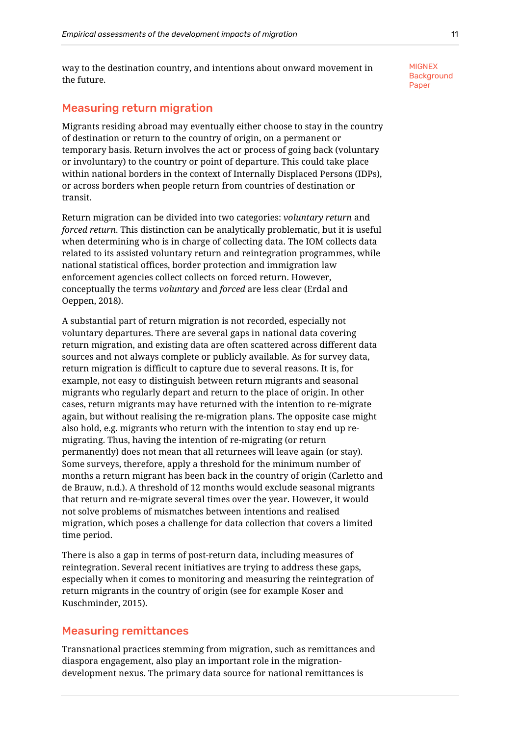way to the destination country, and intentions about onward movement in the future.

## <span id="page-13-0"></span>Measuring return migration

Migrants residing abroad may eventually either choose to stay in the country of destination or return to the country of origin, on a permanent or temporary basis. Return involves the act or process of going back (voluntary or involuntary) to the country or point of departure. This could take place within national borders in the context of Internally Displaced Persons (IDPs), or across borders when people return from countries of destination or transit.

Return migration can be divided into two categories: *voluntary return* and *forced return*. This distinction can be analytically problematic, but it is useful when determining who is in charge of collecting data. The IOM collects data related to its assisted voluntary return and reintegration programmes, while national statistical offices, border protection and immigration law enforcement agencies collect collects on forced return. However, conceptually the terms *voluntary* and *forced* are less clear (Erdal and Oeppen, 2018).

A substantial part of return migration is not recorded, especially not voluntary departures. There are several gaps in national data covering return migration, and existing data are often scattered across different data sources and not always complete or publicly available. As for survey data, return migration is difficult to capture due to several reasons. It is, for example, not easy to distinguish between return migrants and seasonal migrants who regularly depart and return to the place of origin. In other cases, return migrants may have returned with the intention to re-migrate again, but without realising the re-migration plans. The opposite case might also hold, e.g. migrants who return with the intention to stay end up remigrating. Thus, having the intention of re-migrating (or return permanently) does not mean that all returnees will leave again (or stay). Some surveys, therefore, apply a threshold for the minimum number of months a return migrant has been back in the country of origin (Carletto and de Brauw, n.d.). A threshold of 12 months would exclude seasonal migrants that return and re-migrate several times over the year. However, it would not solve problems of mismatches between intentions and realised migration, which poses a challenge for data collection that covers a limited time period.

There is also a gap in terms of post-return data, including measures of reintegration. Several recent initiatives are trying to address these gaps, especially when it comes to monitoring and measuring the reintegration of return migrants in the country of origin (see for example Koser and Kuschminder, 2015).

## <span id="page-13-1"></span>Measuring remittances

Transnational practices stemming from migration, such as remittances and diaspora engagement, also play an important role in the migrationdevelopment nexus. The primary data source for national remittances is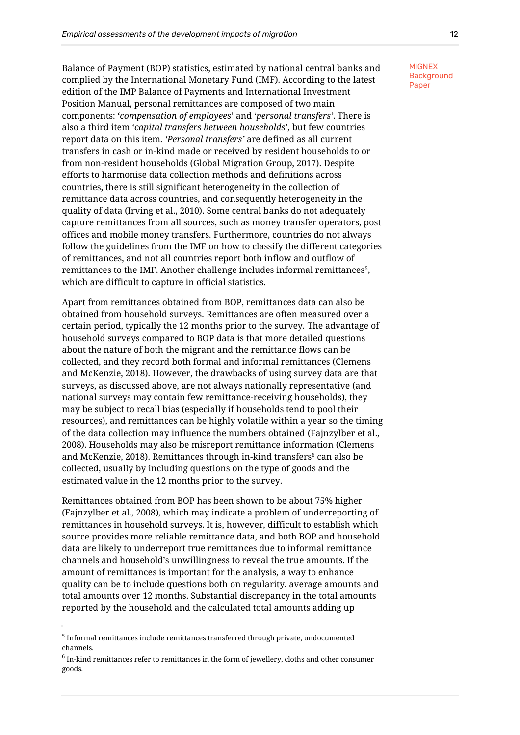Balance of Payment (BOP) statistics, estimated by national central banks and complied by the International Monetary Fund (IMF). According to the latest edition of the IMP Balance of Payments and International Investment Position Manual, personal remittances are composed of two main components: '*compensation of employees*' and '*personal transfers'*. There is also a third item '*capital transfers between households*', but few countries report data on this item. *'Personal transfers'* are defined as all current transfers in cash or in-kind made or received by resident households to or from non-resident households (Global Migration Group, 2017). Despite efforts to harmonise data collection methods and definitions across countries, there is still significant heterogeneity in the collection of remittance data across countries, and consequently heterogeneity in the quality of data (Irving et al., 2010). Some central banks do not adequately capture remittances from all sources, such as money transfer operators, post offices and mobile money transfers. Furthermore, countries do not always follow the guidelines from the IMF on how to classify the different categories of remittances, and not all countries report both inflow and outflow of remittances to the IMF. Another challenge includes informal remittances $^{\rm 5}$ , which are difficult to capture in official statistics.

Apart from remittances obtained from BOP, remittances data can also be obtained from household surveys. Remittances are often measured over a certain period, typically the 12 months prior to the survey. The advantage of household surveys compared to BOP data is that more detailed questions about the nature of both the migrant and the remittance flows can be collected, and they record both formal and informal remittances (Clemens and McKenzie, 2018). However, the drawbacks of using survey data are that surveys, as discussed above, are not always nationally representative (and national surveys may contain few remittance-receiving households), they may be subject to recall bias (especially if households tend to pool their resources), and remittances can be highly volatile within a year so the timing of the data collection may influence the numbers obtained (Fajnzylber et al., 2008). Households may also be misreport remittance information (Clemens and McKenzie, 2018). Remittances through in-kind transfers<sup>6</sup> can also be collected, usually by including questions on the type of goods and the estimated value in the 12 months prior to the survey.

Remittances obtained from BOP has been shown to be about 75% higher (Fajnzylber et al., 2008), which may indicate a problem of underreporting of remittances in household surveys. It is, however, difficult to establish which source provides more reliable remittance data, and both BOP and household data are likely to underreport true remittances due to informal remittance channels and household's unwillingness to reveal the true amounts. If the amount of remittances is important for the analysis, a way to enhance quality can be to include questions both on regularity, average amounts and total amounts over 12 months. Substantial discrepancy in the total amounts reported by the household and the calculated total amounts adding up

 $^5$  Informal remittances include remittances transferred through private, undocumented channels.

 $^6$  In-kind remittances refer to remittances in the form of jewellery, cloths and other consumer goods.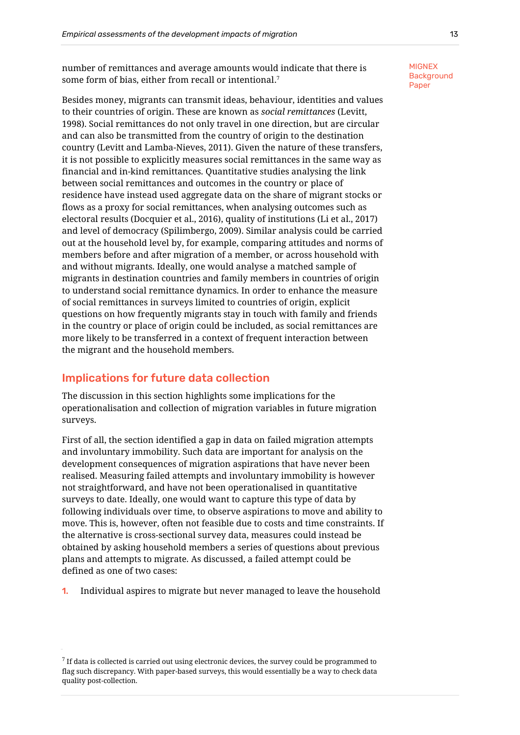number of remittances and average amounts would indicate that there is some form of bias, either from recall or intentional. $^{\textrm{\tiny{\textit{T}}}}$ 

Besides money, migrants can transmit ideas, behaviour, identities and values to their countries of origin. These are known as *social remittances* (Levitt, 1998). Social remittances do not only travel in one direction, but are circular and can also be transmitted from the country of origin to the destination country (Levitt and Lamba-Nieves, 2011). Given the nature of these transfers, it is not possible to explicitly measures social remittances in the same way as financial and in-kind remittances. Quantitative studies analysing the link between social remittances and outcomes in the country or place of residence have instead used aggregate data on the share of migrant stocks or flows as a proxy for social remittances, when analysing outcomes such as electoral results (Docquier et al., 2016), quality of institutions (Li et al., 2017) and level of democracy (Spilimbergo, 2009). Similar analysis could be carried out at the household level by, for example, comparing attitudes and norms of members before and after migration of a member, or across household with and without migrants. Ideally, one would analyse a matched sample of migrants in destination countries and family members in countries of origin to understand social remittance dynamics. In order to enhance the measure of social remittances in surveys limited to countries of origin, explicit questions on how frequently migrants stay in touch with family and friends in the country or place of origin could be included, as social remittances are more likely to be transferred in a context of frequent interaction between the migrant and the household members.

# <span id="page-15-0"></span>Implications for future data collection

The discussion in this section highlights some implications for the operationalisation and collection of migration variables in future migration surveys.

First of all, the section identified a gap in data on failed migration attempts and involuntary immobility. Such data are important for analysis on the development consequences of migration aspirations that have never been realised. Measuring failed attempts and involuntary immobility is however not straightforward, and have not been operationalised in quantitative surveys to date. Ideally, one would want to capture this type of data by following individuals over time, to observe aspirations to move and ability to move. This is, however, often not feasible due to costs and time constraints. If the alternative is cross-sectional survey data, measures could instead be obtained by asking household members a series of questions about previous plans and attempts to migrate. As discussed, a failed attempt could be defined as one of two cases:

1. Individual aspires to migrate but never managed to leave the household

 $^7$  If data is collected is carried out using electronic devices, the survey could be programmed to flag such discrepancy. With paper-based surveys, this would essentially be a way to check data quality post-collection.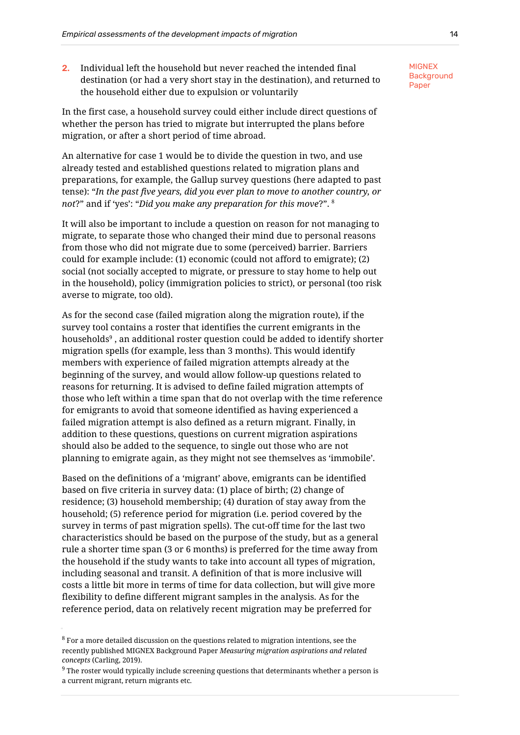2. Individual left the household but never reached the intended final destination (or had a very short stay in the destination), and returned to the household either due to expulsion or voluntarily

In the first case, a household survey could either include direct questions of whether the person has tried to migrate but interrupted the plans before migration, or after a short period of time abroad.

An alternative for case 1 would be to divide the question in two, and use already tested and established questions related to migration plans and preparations, for example, the Gallup survey questions (here adapted to past tense): "*In the past five years, did you ever plan to move to another country, or not*?" and if 'yes': "*Did you make any preparation for this move*?". 8

It will also be important to include a question on reason for not managing to migrate, to separate those who changed their mind due to personal reasons from those who did not migrate due to some (perceived) barrier. Barriers could for example include: (1) economic (could not afford to emigrate); (2) social (not socially accepted to migrate, or pressure to stay home to help out in the household), policy (immigration policies to strict), or personal (too risk averse to migrate, too old).

As for the second case (failed migration along the migration route), if the survey tool contains a roster that identifies the current emigrants in the households<sup>9</sup> , an additional roster question could be added to identify shorter migration spells (for example, less than 3 months). This would identify members with experience of failed migration attempts already at the beginning of the survey, and would allow follow-up questions related to reasons for returning. It is advised to define failed migration attempts of those who left within a time span that do not overlap with the time reference for emigrants to avoid that someone identified as having experienced a failed migration attempt is also defined as a return migrant. Finally, in addition to these questions, questions on current migration aspirations should also be added to the sequence, to single out those who are not planning to emigrate again, as they might not see themselves as 'immobile'.

Based on the definitions of a 'migrant' above, emigrants can be identified based on five criteria in survey data: (1) place of birth; (2) change of residence; (3) household membership; (4) duration of stay away from the household; (5) reference period for migration (i.e. period covered by the survey in terms of past migration spells). The cut-off time for the last two characteristics should be based on the purpose of the study, but as a general rule a shorter time span (3 or 6 months) is preferred for the time away from the household if the study wants to take into account all types of migration, including seasonal and transit. A definition of that is more inclusive will costs a little bit more in terms of time for data collection, but will give more flexibility to define different migrant samples in the analysis. As for the reference period, data on relatively recent migration may be preferred for

 $^8$  For a more detailed discussion on the questions related to migration intentions, see the recently published MIGNEX Background Paper *Measuring migration aspirations and related concepts* (Carling, 2019).

 $9$  The roster would typically include screening questions that determinants whether a person is a current migrant, return migrants etc.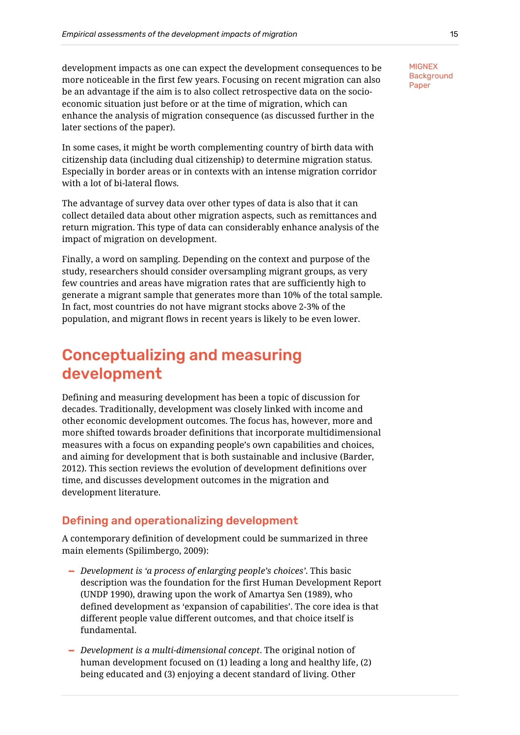development impacts as one can expect the development consequences to be more noticeable in the first few years. Focusing on recent migration can also be an advantage if the aim is to also collect retrospective data on the socioeconomic situation just before or at the time of migration, which can enhance the analysis of migration consequence (as discussed further in the later sections of the paper).

In some cases, it might be worth complementing country of birth data with citizenship data (including dual citizenship) to determine migration status. Especially in border areas or in contexts with an intense migration corridor with a lot of bi-lateral flows.

The advantage of survey data over other types of data is also that it can collect detailed data about other migration aspects, such as remittances and return migration. This type of data can considerably enhance analysis of the impact of migration on development.

Finally, a word on sampling. Depending on the context and purpose of the study, researchers should consider oversampling migrant groups, as very few countries and areas have migration rates that are sufficiently high to generate a migrant sample that generates more than 10% of the total sample. In fact, most countries do not have migrant stocks above 2-3% of the population, and migrant flows in recent years is likely to be even lower.

# <span id="page-17-0"></span>Conceptualizing and measuring development

Defining and measuring development has been a topic of discussion for decades. Traditionally, development was closely linked with income and other economic development outcomes. The focus has, however, more and more shifted towards broader definitions that incorporate multidimensional measures with a focus on expanding people's own capabilities and choices, and aiming for development that is both sustainable and inclusive (Barder, 2012). This section reviews the evolution of development definitions over time, and discusses development outcomes in the migration and development literature.

# <span id="page-17-1"></span>Defining and operationalizing development

A contemporary definition of development could be summarized in three main elements (Spilimbergo, 2009):

- **—** *Development is 'a process of enlarging people's choices'*. This basic description was the foundation for the first Human Development Report (UNDP 1990), drawing upon the work of Amartya Sen (1989), who defined development as 'expansion of capabilities'. The core idea is that different people value different outcomes, and that choice itself is fundamental.
- **—** *Development is a multi-dimensional concept*. The original notion of human development focused on (1) leading a long and healthy life, (2) being educated and (3) enjoying a decent standard of living. Other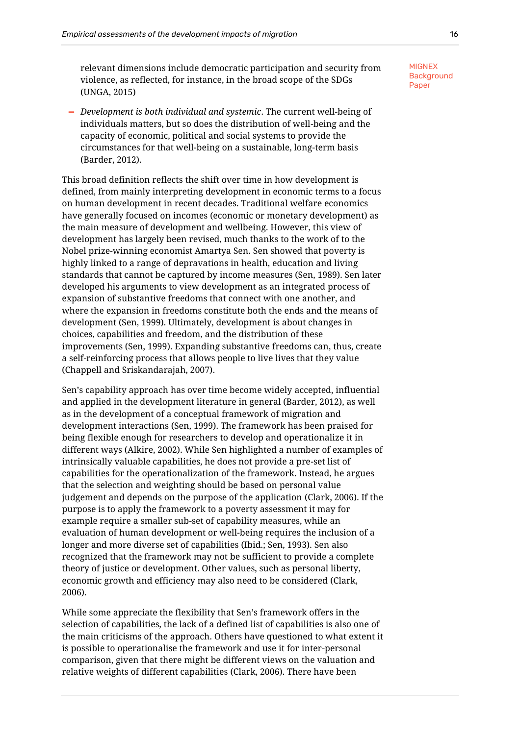relevant dimensions include democratic participation and security from violence, as reflected, for instance, in the broad scope of the SDGs (UNGA, 2015)

**—** *Development is both individual and systemic*. The current well-being of individuals matters, but so does the distribution of well-being and the capacity of economic, political and social systems to provide the circumstances for that well-being on a sustainable, long-term basis (Barder, 2012).

This broad definition reflects the shift over time in how development is defined, from mainly interpreting development in economic terms to a focus on human development in recent decades. Traditional welfare economics have generally focused on incomes (economic or monetary development) as the main measure of development and wellbeing. However, this view of development has largely been revised, much thanks to the work of to the Nobel prize-winning economist Amartya Sen. Sen showed that poverty is highly linked to a range of depravations in health, education and living standards that cannot be captured by income measures (Sen, 1989). Sen later developed his arguments to view development as an integrated process of expansion of substantive freedoms that connect with one another, and where the expansion in freedoms constitute both the ends and the means of development (Sen, 1999). Ultimately, development is about changes in choices, capabilities and freedom, and the distribution of these improvements (Sen, 1999). Expanding substantive freedoms can, thus, create a self-reinforcing process that allows people to live lives that they value (Chappell and Sriskandarajah, 2007).

Sen's capability approach has over time become widely accepted, influential and applied in the development literature in general (Barder, 2012), as well as in the development of a conceptual framework of migration and development interactions (Sen, 1999). The framework has been praised for being flexible enough for researchers to develop and operationalize it in different ways (Alkire, 2002). While Sen highlighted a number of examples of intrinsically valuable capabilities, he does not provide a pre-set list of capabilities for the operationalization of the framework. Instead, he argues that the selection and weighting should be based on personal value judgement and depends on the purpose of the application (Clark, 2006). If the purpose is to apply the framework to a poverty assessment it may for example require a smaller sub-set of capability measures, while an evaluation of human development or well-being requires the inclusion of a longer and more diverse set of capabilities (Ibid.; Sen, 1993). Sen also recognized that the framework may not be sufficient to provide a complete theory of justice or development. Other values, such as personal liberty, economic growth and efficiency may also need to be considered (Clark, 2006).

While some appreciate the flexibility that Sen's framework offers in the selection of capabilities, the lack of a defined list of capabilities is also one of the main criticisms of the approach. Others have questioned to what extent it is possible to operationalise the framework and use it for inter-personal comparison, given that there might be different views on the valuation and relative weights of different capabilities (Clark, 2006). There have been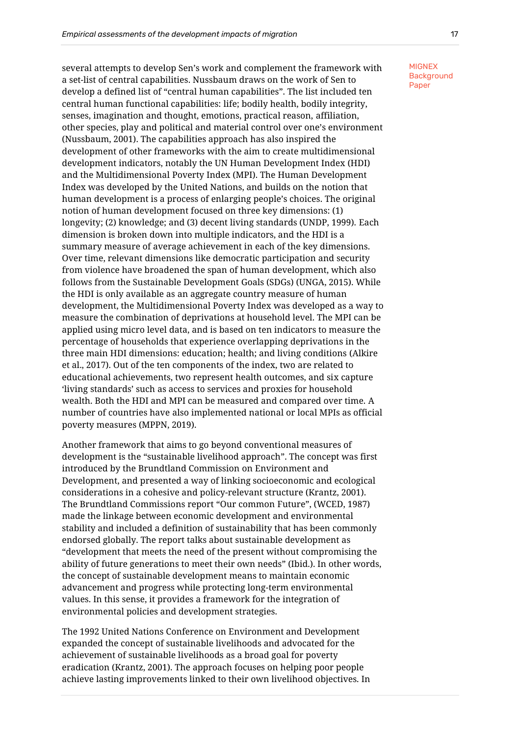several attempts to develop Sen's work and complement the framework with a set-list of central capabilities. Nussbaum draws on the work of Sen to develop a defined list of "central human capabilities". The list included ten central human functional capabilities: life; bodily health, bodily integrity, senses, imagination and thought, emotions, practical reason, affiliation, other species, play and political and material control over one's environment (Nussbaum, 2001). The capabilities approach has also inspired the development of other frameworks with the aim to create multidimensional development indicators, notably the UN Human Development Index (HDI) and the Multidimensional Poverty Index (MPI). The Human Development Index was developed by the United Nations, and builds on the notion that human development is a process of enlarging people's choices. The original notion of human development focused on three key dimensions: (1) longevity; (2) knowledge; and (3) decent living standards (UNDP, 1999). Each dimension is broken down into multiple indicators, and the HDI is a summary measure of average achievement in each of the key dimensions. Over time, relevant dimensions like democratic participation and security from violence have broadened the span of human development, which also follows from the Sustainable Development Goals (SDGs) (UNGA, 2015). While the HDI is only available as an aggregate country measure of human development, the Multidimensional Poverty Index was developed as a way to measure the combination of deprivations at household level. The MPI can be applied using micro level data, and is based on ten indicators to measure the percentage of households that experience overlapping deprivations in the three main HDI dimensions: education; health; and living conditions (Alkire et al., 2017). Out of the ten components of the index, two are related to educational achievements, two represent health outcomes, and six capture 'living standards' such as access to services and proxies for household wealth. Both the HDI and MPI can be measured and compared over time. A number of countries have also implemented national or local MPIs as official poverty measures (MPPN, 2019).

Another framework that aims to go beyond conventional measures of development is the "sustainable livelihood approach". The concept was first introduced by the Brundtland Commission on Environment and Development, and presented a way of linking socioeconomic and ecological considerations in a cohesive and policy-relevant structure (Krantz, 2001). The Brundtland Commissions report "Our common Future", (WCED, 1987) made the linkage between economic development and environmental stability and included a definition of sustainability that has been commonly endorsed globally. The report talks about sustainable development as "development that meets the need of the present without compromising the ability of future generations to meet their own needs" (Ibid.). In other words, the concept of sustainable development means to maintain economic advancement and progress while protecting long-term environmental values. In this sense, it provides a framework for the integration of environmental policies and development strategies.

The 1992 United Nations Conference on Environment and Development expanded the concept of sustainable livelihoods and advocated for the achievement of sustainable livelihoods as a broad goal for poverty eradication (Krantz, 2001). The approach focuses on helping poor people achieve lasting improvements linked to their own livelihood objectives. In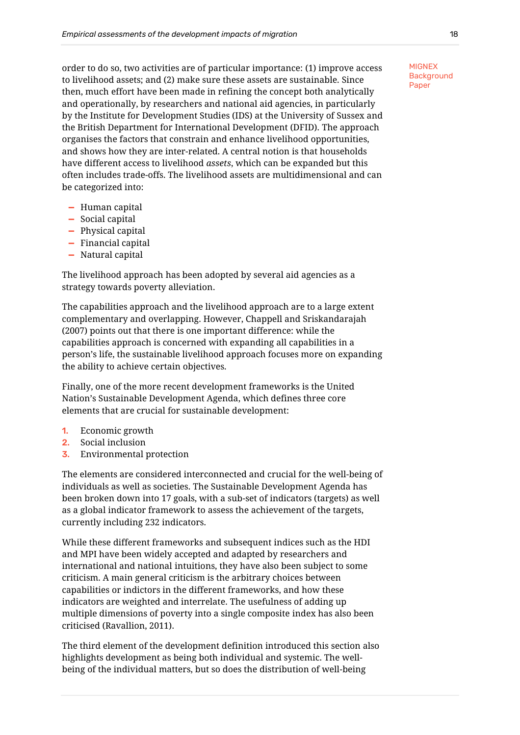order to do so, two activities are of particular importance: (1) improve access to livelihood assets; and (2) make sure these assets are sustainable. Since then, much effort have been made in refining the concept both analytically and operationally, by researchers and national aid agencies, in particularly by the Institute for Development Studies (IDS) at the University of Sussex and the British Department for International Development (DFID). The approach organises the factors that constrain and enhance livelihood opportunities, and shows how they are inter-related. A central notion is that households have different access to livelihood *assets*, which can be expanded but this often includes trade-offs. The livelihood assets are multidimensional and can be categorized into:

- **—** Human capital
- **—** Social capital
- **—** Physical capital
- **—** Financial capital
- **—** Natural capital

The livelihood approach has been adopted by several aid agencies as a strategy towards poverty alleviation.

The capabilities approach and the livelihood approach are to a large extent complementary and overlapping. However, Chappell and Sriskandarajah (2007) points out that there is one important difference: while the capabilities approach is concerned with expanding all capabilities in a person's life, the sustainable livelihood approach focuses more on expanding the ability to achieve certain objectives.

Finally, one of the more recent development frameworks is the United Nation's Sustainable Development Agenda, which defines three core elements that are crucial for sustainable development:

- 1. Economic growth
- 2. Social inclusion
- 3. Environmental protection

The elements are considered interconnected and crucial for the well-being of individuals as well as societies. The Sustainable Development Agenda has been broken down into 17 goals, with a sub-set of indicators (targets) as well as a global indicator framework to assess the achievement of the targets, currently including 232 indicators.

While these different frameworks and subsequent indices such as the HDI and MPI have been widely accepted and adapted by researchers and international and national intuitions, they have also been subject to some criticism. A main general criticism is the arbitrary choices between capabilities or indictors in the different frameworks, and how these indicators are weighted and interrelate. The usefulness of adding up multiple dimensions of poverty into a single composite index has also been criticised (Ravallion, 2011).

The third element of the development definition introduced this section also highlights development as being both individual and systemic. The wellbeing of the individual matters, but so does the distribution of well-being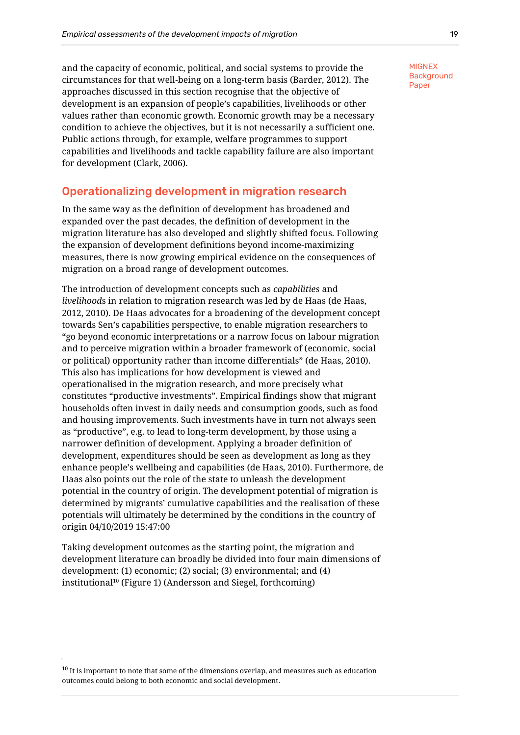and the capacity of economic, political, and social systems to provide the circumstances for that well-being on a long-term basis (Barder, 2012). The approaches discussed in this section recognise that the objective of development is an expansion of people's capabilities, livelihoods or other values rather than economic growth. Economic growth may be a necessary condition to achieve the objectives, but it is not necessarily a sufficient one. Public actions through, for example, welfare programmes to support capabilities and livelihoods and tackle capability failure are also important for development (Clark, 2006).

## <span id="page-21-0"></span>Operationalizing development in migration research

In the same way as the definition of development has broadened and expanded over the past decades, the definition of development in the migration literature has also developed and slightly shifted focus. Following the expansion of development definitions beyond income-maximizing measures, there is now growing empirical evidence on the consequences of migration on a broad range of development outcomes.

The introduction of development concepts such as *capabilities* and *livelihood*s in relation to migration research was led by de Haas (de Haas, 2012, 2010). De Haas advocates for a broadening of the development concept towards Sen's capabilities perspective, to enable migration researchers to "go beyond economic interpretations or a narrow focus on labour migration and to perceive migration within a broader framework of (economic, social or political) opportunity rather than income differentials" (de Haas, 2010). This also has implications for how development is viewed and operationalised in the migration research, and more precisely what constitutes "productive investments". Empirical findings show that migrant households often invest in daily needs and consumption goods, such as food and housing improvements. Such investments have in turn not always seen as "productive", e.g. to lead to long-term development, by those using a narrower definition of development. Applying a broader definition of development, expenditures should be seen as development as long as they enhance people's wellbeing and capabilities (de Haas, 2010). Furthermore, de Haas also points out the role of the state to unleash the development potential in the country of origin. The development potential of migration is determined by migrants' cumulative capabilities and the realisation of these potentials will ultimately be determined by the conditions in the country of origin 04/10/2019 15:47:00

Taking development outcomes as the starting point, the migration and development literature can broadly be divided into four main dimensions of development: (1) economic; (2) social; (3) environmental; and (4) institutional<sup>10</sup> (Figure 1) (Andersson and Siegel, forthcoming)

 $10$  It is important to note that some of the dimensions overlap, and measures such as education outcomes could belong to both economic and social development.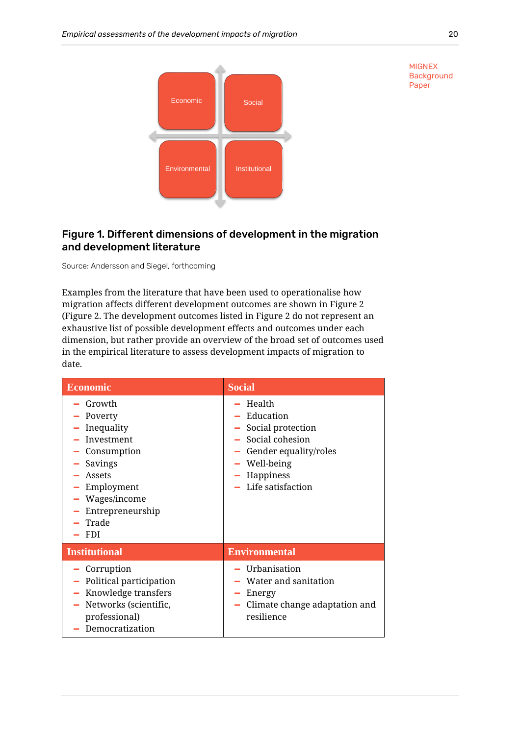

**MIGNEX Background** Paper

# <span id="page-22-0"></span>Figure 1. Different dimensions of development in the migration and development literature

Source: Andersson and Siegel, forthcoming

Examples from the literature that have been used to operationalise how migration affects different development outcomes are shown in Figure 2 [\(Figure 2.](#page-23-0) The development outcomes listed in [Figure 2](#page-23-0) do not represent an exhaustive list of possible development effects and outcomes under each dimension, but rather provide an overview of the broad set of outcomes used in the empirical literature to assess development impacts of migration to date.

| <b>Economic</b>                                                                                                                                                         | <b>Social</b>                                                                                                                                      |
|-------------------------------------------------------------------------------------------------------------------------------------------------------------------------|----------------------------------------------------------------------------------------------------------------------------------------------------|
| Growth<br>- Poverty<br>Inequality<br>- Investment<br>- Consumption<br>Savings<br>$-$ Assets<br>- Employment<br>- Wages/income<br>- Entrepreneurship<br>Trade<br>$-$ FDI | - Health<br>- Education<br>- Social protection<br>- Social cohesion<br>Gender equality/roles<br>Well-being<br>- Happiness<br>$-$ Life satisfaction |
| <b>Institutional</b>                                                                                                                                                    | <b>Environmental</b>                                                                                                                               |
| - Corruption<br>- Political participation<br>- Knowledge transfers<br>- Networks (scientific,<br>professional)<br>Democratization                                       | - Urbanisation<br>Water and sanitation<br>Energy<br>Climate change adaptation and<br>$\sim$<br>resilience                                          |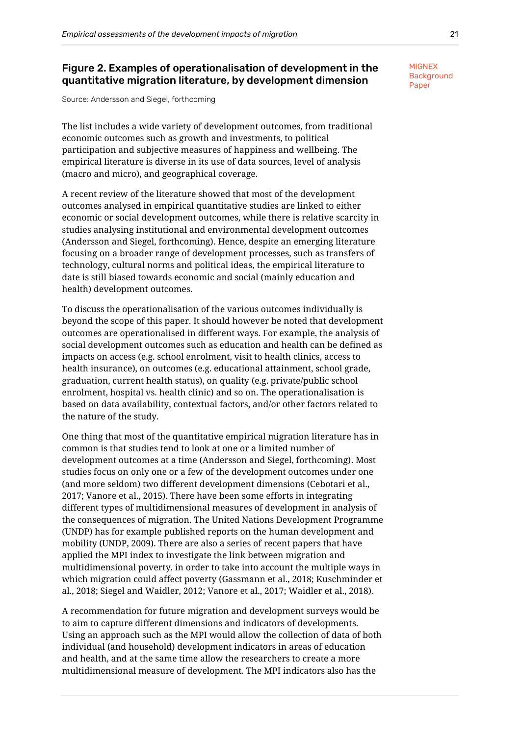# <span id="page-23-0"></span>Figure 2. Examples of operationalisation of development in the quantitative migration literature, by development dimension

Source: Andersson and Siegel, forthcoming

The list includes a wide variety of development outcomes, from traditional economic outcomes such as growth and investments, to political participation and subjective measures of happiness and wellbeing. The empirical literature is diverse in its use of data sources, level of analysis (macro and micro), and geographical coverage.

A recent review of the literature showed that most of the development outcomes analysed in empirical quantitative studies are linked to either economic or social development outcomes, while there is relative scarcity in studies analysing institutional and environmental development outcomes (Andersson and Siegel, forthcoming). Hence, despite an emerging literature focusing on a broader range of development processes, such as transfers of technology, cultural norms and political ideas, the empirical literature to date is still biased towards economic and social (mainly education and health) development outcomes.

To discuss the operationalisation of the various outcomes individually is beyond the scope of this paper. It should however be noted that development outcomes are operationalised in different ways. For example, the analysis of social development outcomes such as education and health can be defined as impacts on access (e.g. school enrolment, visit to health clinics, access to health insurance), on outcomes (e.g. educational attainment, school grade, graduation, current health status), on quality (e.g. private/public school enrolment, hospital vs. health clinic) and so on. The operationalisation is based on data availability, contextual factors, and/or other factors related to the nature of the study.

One thing that most of the quantitative empirical migration literature has in common is that studies tend to look at one or a limited number of development outcomes at a time (Andersson and Siegel, forthcoming). Most studies focus on only one or a few of the development outcomes under one (and more seldom) two different development dimensions (Cebotari et al., 2017; Vanore et al., 2015). There have been some efforts in integrating different types of multidimensional measures of development in analysis of the consequences of migration. The United Nations Development Programme (UNDP) has for example published reports on the human development and mobility (UNDP, 2009). There are also a series of recent papers that have applied the MPI index to investigate the link between migration and multidimensional poverty, in order to take into account the multiple ways in which migration could affect poverty (Gassmann et al., 2018; Kuschminder et al., 2018; Siegel and Waidler, 2012; Vanore et al., 2017; Waidler et al., 2018).

A recommendation for future migration and development surveys would be to aim to capture different dimensions and indicators of developments. Using an approach such as the MPI would allow the collection of data of both individual (and household) development indicators in areas of education and health, and at the same time allow the researchers to create a more multidimensional measure of development. The MPI indicators also has the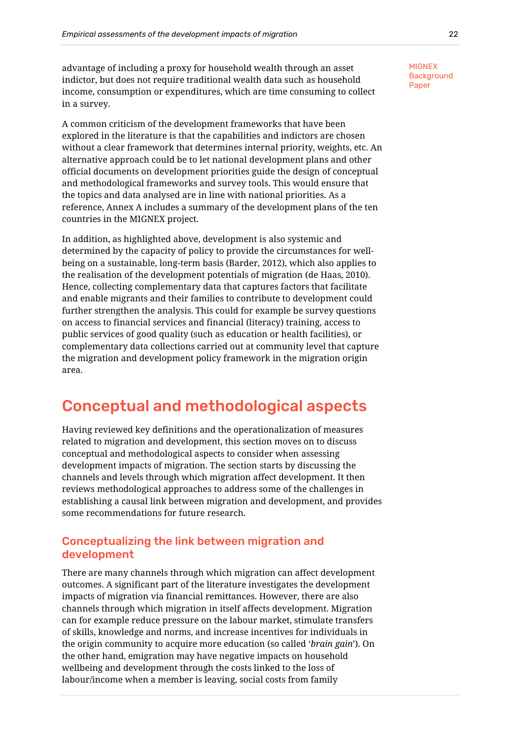advantage of including a proxy for household wealth through an asset indictor, but does not require traditional wealth data such as household income, consumption or expenditures, which are time consuming to collect in a survey.

A common criticism of the development frameworks that have been explored in the literature is that the capabilities and indictors are chosen without a clear framework that determines internal priority, weights, etc. An alternative approach could be to let national development plans and other official documents on development priorities guide the design of conceptual and methodological frameworks and survey tools. This would ensure that the topics and data analysed are in line with national priorities. As a reference, Annex A includes a summary of the development plans of the ten countries in the MIGNEX project.

In addition, as highlighted above, development is also systemic and determined by the capacity of policy to provide the circumstances for wellbeing on a sustainable, long-term basis (Barder, 2012), which also applies to the realisation of the development potentials of migration (de Haas, 2010). Hence, collecting complementary data that captures factors that facilitate and enable migrants and their families to contribute to development could further strengthen the analysis. This could for example be survey questions on access to financial services and financial (literacy) training, access to public services of good quality (such as education or health facilities), or complementary data collections carried out at community level that capture the migration and development policy framework in the migration origin area.

# <span id="page-24-0"></span>Conceptual and methodological aspects

Having reviewed key definitions and the operationalization of measures related to migration and development, this section moves on to discuss conceptual and methodological aspects to consider when assessing development impacts of migration. The section starts by discussing the channels and levels through which migration affect development. It then reviews methodological approaches to address some of the challenges in establishing a causal link between migration and development, and provides some recommendations for future research.

# <span id="page-24-1"></span>Conceptualizing the link between migration and development

There are many channels through which migration can affect development outcomes. A significant part of the literature investigates the development impacts of migration via financial remittances. However, there are also channels through which migration in itself affects development. Migration can for example reduce pressure on the labour market, stimulate transfers of skills, knowledge and norms, and increase incentives for individuals in the origin community to acquire more education (so called '*brain gain*'). On the other hand, emigration may have negative impacts on household wellbeing and development through the costs linked to the loss of labour/income when a member is leaving, social costs from family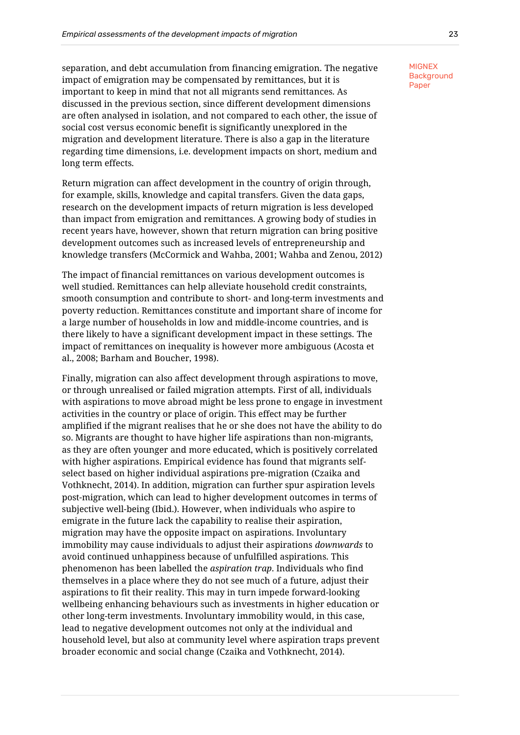separation, and debt accumulation from financing emigration. The negative impact of emigration may be compensated by remittances, but it is important to keep in mind that not all migrants send remittances. As discussed in the previous section, since different development dimensions are often analysed in isolation, and not compared to each other, the issue of social cost versus economic benefit is significantly unexplored in the migration and development literature. There is also a gap in the literature regarding time dimensions, i.e. development impacts on short, medium and long term effects.

Return migration can affect development in the country of origin through, for example, skills, knowledge and capital transfers. Given the data gaps, research on the development impacts of return migration is less developed than impact from emigration and remittances. A growing body of studies in recent years have, however, shown that return migration can bring positive development outcomes such as increased levels of entrepreneurship and knowledge transfers (McCormick and Wahba, 2001; Wahba and Zenou, 2012)

The impact of financial remittances on various development outcomes is well studied. Remittances can help alleviate household credit constraints, smooth consumption and contribute to short- and long-term investments and poverty reduction. Remittances constitute and important share of income for a large number of households in low and middle-income countries, and is there likely to have a significant development impact in these settings. The impact of remittances on inequality is however more ambiguous (Acosta et al., 2008; Barham and Boucher, 1998).

Finally, migration can also affect development through aspirations to move, or through unrealised or failed migration attempts. First of all, individuals with aspirations to move abroad might be less prone to engage in investment activities in the country or place of origin. This effect may be further amplified if the migrant realises that he or she does not have the ability to do so. Migrants are thought to have higher life aspirations than non-migrants, as they are often younger and more educated, which is positively correlated with higher aspirations. Empirical evidence has found that migrants selfselect based on higher individual aspirations pre-migration (Czaika and Vothknecht, 2014). In addition, migration can further spur aspiration levels post-migration, which can lead to higher development outcomes in terms of subjective well-being (Ibid.). However, when individuals who aspire to emigrate in the future lack the capability to realise their aspiration, migration may have the opposite impact on aspirations. Involuntary immobility may cause individuals to adjust their aspirations *downwards* to avoid continued unhappiness because of unfulfilled aspirations. This phenomenon has been labelled the *aspiration trap*. Individuals who find themselves in a place where they do not see much of a future, adjust their aspirations to fit their reality. This may in turn impede forward-looking wellbeing enhancing behaviours such as investments in higher education or other long-term investments. Involuntary immobility would, in this case, lead to negative development outcomes not only at the individual and household level, but also at community level where aspiration traps prevent broader economic and social change (Czaika and Vothknecht, 2014).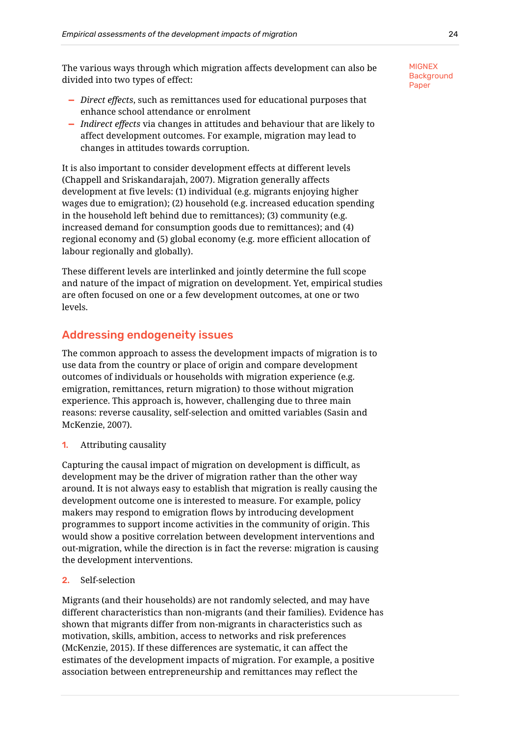The various ways through which migration affects development can also be divided into two types of effect:

- **—** *Direct effects*, such as remittances used for educational purposes that enhance school attendance or enrolment
- **—** *Indirect effects* via changes in attitudes and behaviour that are likely to affect development outcomes. For example, migration may lead to changes in attitudes towards corruption.

It is also important to consider development effects at different levels (Chappell and Sriskandarajah, 2007). Migration generally affects development at five levels: (1) individual (e.g. migrants enjoying higher wages due to emigration); (2) household (e.g. increased education spending in the household left behind due to remittances); (3) community (e.g. increased demand for consumption goods due to remittances); and (4) regional economy and (5) global economy (e.g. more efficient allocation of labour regionally and globally).

These different levels are interlinked and jointly determine the full scope and nature of the impact of migration on development. Yet, empirical studies are often focused on one or a few development outcomes, at one or two levels.

# <span id="page-26-0"></span>Addressing endogeneity issues

The common approach to assess the development impacts of migration is to use data from the country or place of origin and compare development outcomes of individuals or households with migration experience (e.g. emigration, remittances, return migration) to those without migration experience. This approach is, however, challenging due to three main reasons: reverse causality, self-selection and omitted variables (Sasin and McKenzie, 2007).

**1.** Attributing causality

Capturing the causal impact of migration on development is difficult, as development may be the driver of migration rather than the other way around. It is not always easy to establish that migration is really causing the development outcome one is interested to measure. For example, policy makers may respond to emigration flows by introducing development programmes to support income activities in the community of origin. This would show a positive correlation between development interventions and out-migration, while the direction is in fact the reverse: migration is causing the development interventions.

## 2. Self-selection

Migrants (and their households) are not randomly selected, and may have different characteristics than non-migrants (and their families). Evidence has shown that migrants differ from non-migrants in characteristics such as motivation, skills, ambition, access to networks and risk preferences (McKenzie, 2015). If these differences are systematic, it can affect the estimates of the development impacts of migration. For example, a positive association between entrepreneurship and remittances may reflect the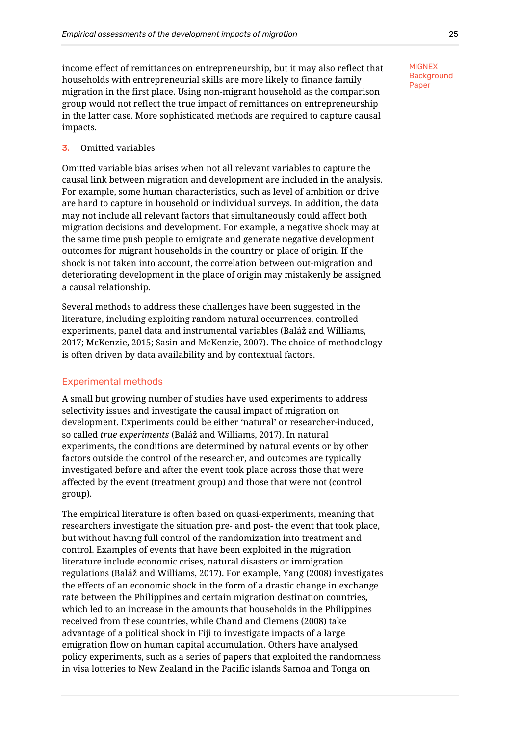income effect of remittances on entrepreneurship, but it may also reflect that households with entrepreneurial skills are more likely to finance family migration in the first place. Using non-migrant household as the comparison group would not reflect the true impact of remittances on entrepreneurship in the latter case. More sophisticated methods are required to capture causal impacts.

## 3. Omitted variables

Omitted variable bias arises when not all relevant variables to capture the causal link between migration and development are included in the analysis. For example, some human characteristics, such as level of ambition or drive are hard to capture in household or individual surveys. In addition, the data may not include all relevant factors that simultaneously could affect both migration decisions and development. For example, a negative shock may at the same time push people to emigrate and generate negative development outcomes for migrant households in the country or place of origin. If the shock is not taken into account, the correlation between out-migration and deteriorating development in the place of origin may mistakenly be assigned a causal relationship.

Several methods to address these challenges have been suggested in the literature, including exploiting random natural occurrences, controlled experiments, panel data and instrumental variables (Baláž and Williams, 2017; McKenzie, 2015; Sasin and McKenzie, 2007). The choice of methodology is often driven by data availability and by contextual factors.

#### <span id="page-27-0"></span>Experimental methods

A small but growing number of studies have used experiments to address selectivity issues and investigate the causal impact of migration on development. Experiments could be either 'natural' or researcher-induced, so called *true experiments* (Baláž and Williams, 2017). In natural experiments, the conditions are determined by natural events or by other factors outside the control of the researcher, and outcomes are typically investigated before and after the event took place across those that were affected by the event (treatment group) and those that were not (control group).

The empirical literature is often based on quasi-experiments, meaning that researchers investigate the situation pre- and post- the event that took place, but without having full control of the randomization into treatment and control. Examples of events that have been exploited in the migration literature include economic crises, natural disasters or immigration regulations (Baláž and Williams, 2017). For example, Yang (2008) investigates the effects of an economic shock in the form of a drastic change in exchange rate between the Philippines and certain migration destination countries, which led to an increase in the amounts that households in the Philippines received from these countries, while Chand and Clemens (2008) take advantage of a political shock in Fiji to investigate impacts of a large emigration flow on human capital accumulation. Others have analysed policy experiments, such as a series of papers that exploited the randomness in visa lotteries to New Zealand in the Pacific islands Samoa and Tonga on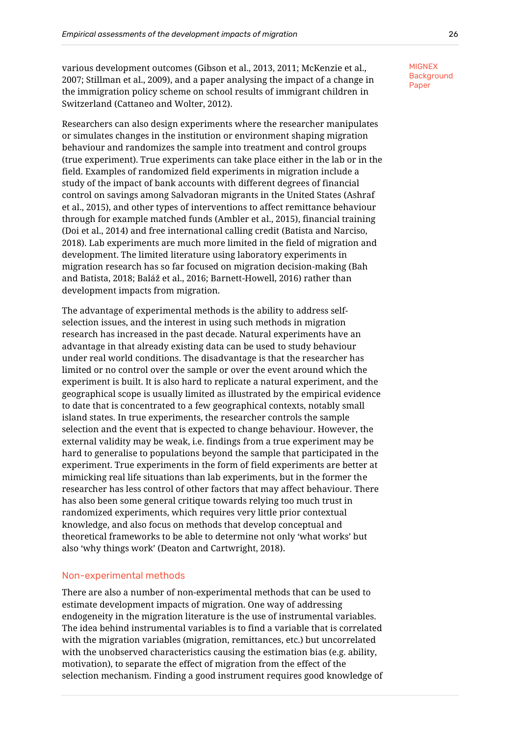various development outcomes (Gibson et al., 2013, 2011; McKenzie et al., 2007; Stillman et al., 2009), and a paper analysing the impact of a change in the immigration policy scheme on school results of immigrant children in Switzerland (Cattaneo and Wolter, 2012).

Researchers can also design experiments where the researcher manipulates or simulates changes in the institution or environment shaping migration behaviour and randomizes the sample into treatment and control groups (true experiment). True experiments can take place either in the lab or in the field. Examples of randomized field experiments in migration include a study of the impact of bank accounts with different degrees of financial control on savings among Salvadoran migrants in the United States (Ashraf et al., 2015), and other types of interventions to affect remittance behaviour through for example matched funds (Ambler et al., 2015), financial training (Doi et al., 2014) and free international calling credit (Batista and Narciso, 2018). Lab experiments are much more limited in the field of migration and development. The limited literature using laboratory experiments in migration research has so far focused on migration decision-making (Bah and Batista, 2018; Baláž et al., 2016; Barnett-Howell, 2016) rather than development impacts from migration.

The advantage of experimental methods is the ability to address selfselection issues, and the interest in using such methods in migration research has increased in the past decade. Natural experiments have an advantage in that already existing data can be used to study behaviour under real world conditions. The disadvantage is that the researcher has limited or no control over the sample or over the event around which the experiment is built. It is also hard to replicate a natural experiment, and the geographical scope is usually limited as illustrated by the empirical evidence to date that is concentrated to a few geographical contexts, notably small island states. In true experiments, the researcher controls the sample selection and the event that is expected to change behaviour. However, the external validity may be weak, i.e. findings from a true experiment may be hard to generalise to populations beyond the sample that participated in the experiment. True experiments in the form of field experiments are better at mimicking real life situations than lab experiments, but in the former the researcher has less control of other factors that may affect behaviour. There has also been some general critique towards relying too much trust in randomized experiments, which requires very little prior contextual knowledge, and also focus on methods that develop conceptual and theoretical frameworks to be able to determine not only 'what works' but also 'why things work' (Deaton and Cartwright, 2018).

#### <span id="page-28-0"></span>Non-experimental methods

There are also a number of non-experimental methods that can be used to estimate development impacts of migration. One way of addressing endogeneity in the migration literature is the use of instrumental variables. The idea behind instrumental variables is to find a variable that is correlated with the migration variables (migration, remittances, etc.) but uncorrelated with the unobserved characteristics causing the estimation bias (e.g. ability, motivation), to separate the effect of migration from the effect of the selection mechanism. Finding a good instrument requires good knowledge of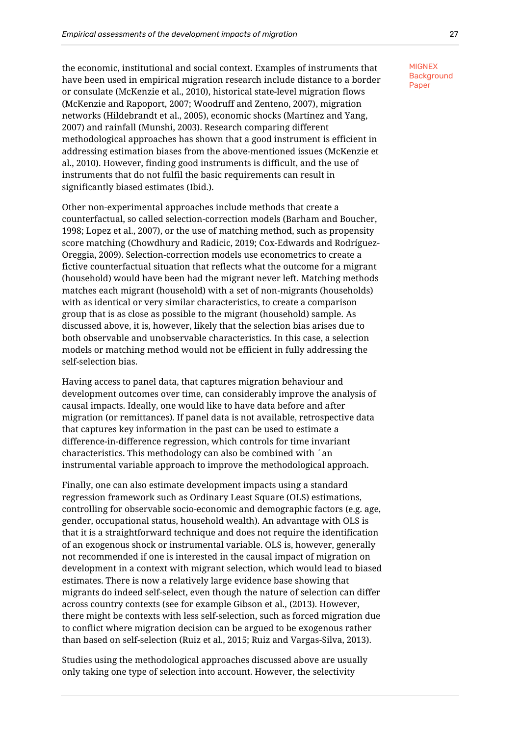the economic, institutional and social context. Examples of instruments that have been used in empirical migration research include distance to a border or consulate (McKenzie et al., 2010), historical state-level migration flows (McKenzie and Rapoport, 2007; Woodruff and Zenteno, 2007), migration networks (Hildebrandt et al., 2005), economic shocks (Martínez and Yang, 2007) and rainfall (Munshi, 2003). Research comparing different methodological approaches has shown that a good instrument is efficient in addressing estimation biases from the above-mentioned issues (McKenzie et al., 2010). However, finding good instruments is difficult, and the use of instruments that do not fulfil the basic requirements can result in significantly biased estimates (Ibid.).

Other non-experimental approaches include methods that create a counterfactual, so called selection-correction models (Barham and Boucher, 1998; Lopez et al., 2007), or the use of matching method, such as propensity score matching (Chowdhury and Radicic, 2019; Cox-Edwards and Rodríguez-Oreggia, 2009). Selection-correction models use econometrics to create a fictive counterfactual situation that reflects what the outcome for a migrant (household) would have been had the migrant never left. Matching methods matches each migrant (household) with a set of non-migrants (households) with as identical or very similar characteristics, to create a comparison group that is as close as possible to the migrant (household) sample. As discussed above, it is, however, likely that the selection bias arises due to both observable and unobservable characteristics. In this case, a selection models or matching method would not be efficient in fully addressing the self-selection bias.

Having access to panel data, that captures migration behaviour and development outcomes over time, can considerably improve the analysis of causal impacts. Ideally, one would like to have data before and after migration (or remittances). If panel data is not available, retrospective data that captures key information in the past can be used to estimate a difference-in-difference regression, which controls for time invariant characteristics. This methodology can also be combined with ´an instrumental variable approach to improve the methodological approach.

Finally, one can also estimate development impacts using a standard regression framework such as Ordinary Least Square (OLS) estimations, controlling for observable socio-economic and demographic factors (e.g. age, gender, occupational status, household wealth). An advantage with OLS is that it is a straightforward technique and does not require the identification of an exogenous shock or instrumental variable. OLS is, however, generally not recommended if one is interested in the causal impact of migration on development in a context with migrant selection, which would lead to biased estimates. There is now a relatively large evidence base showing that migrants do indeed self-select, even though the nature of selection can differ across country contexts (see for example Gibson et al., (2013). However, there might be contexts with less self-selection, such as forced migration due to conflict where migration decision can be argued to be exogenous rather than based on self-selection (Ruiz et al., 2015; Ruiz and Vargas-Silva, 2013).

Studies using the methodological approaches discussed above are usually only taking one type of selection into account. However, the selectivity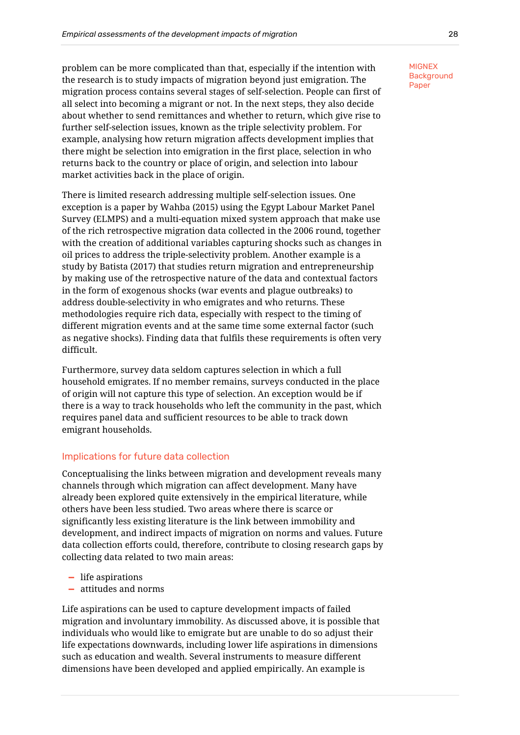problem can be more complicated than that, especially if the intention with the research is to study impacts of migration beyond just emigration. The migration process contains several stages of self-selection. People can first of all select into becoming a migrant or not. In the next steps, they also decide about whether to send remittances and whether to return, which give rise to further self-selection issues, known as the triple selectivity problem. For example, analysing how return migration affects development implies that there might be selection into emigration in the first place, selection in who returns back to the country or place of origin, and selection into labour market activities back in the place of origin.

There is limited research addressing multiple self-selection issues. One exception is a paper by Wahba (2015) using the Egypt Labour Market Panel Survey (ELMPS) and a multi-equation mixed system approach that make use of the rich retrospective migration data collected in the 2006 round, together with the creation of additional variables capturing shocks such as changes in oil prices to address the triple-selectivity problem. Another example is a study by Batista (2017) that studies return migration and entrepreneurship by making use of the retrospective nature of the data and contextual factors in the form of exogenous shocks (war events and plague outbreaks) to address double-selectivity in who emigrates and who returns. These methodologies require rich data, especially with respect to the timing of different migration events and at the same time some external factor (such as negative shocks). Finding data that fulfils these requirements is often very difficult.

Furthermore, survey data seldom captures selection in which a full household emigrates. If no member remains, surveys conducted in the place of origin will not capture this type of selection. An exception would be if there is a way to track households who left the community in the past, which requires panel data and sufficient resources to be able to track down emigrant households.

## <span id="page-30-0"></span>Implications for future data collection

Conceptualising the links between migration and development reveals many channels through which migration can affect development. Many have already been explored quite extensively in the empirical literature, while others have been less studied. Two areas where there is scarce or significantly less existing literature is the link between immobility and development, and indirect impacts of migration on norms and values. Future data collection efforts could, therefore, contribute to closing research gaps by collecting data related to two main areas:

- **—** life aspirations
- **—** attitudes and norms

Life aspirations can be used to capture development impacts of failed migration and involuntary immobility. As discussed above, it is possible that individuals who would like to emigrate but are unable to do so adjust their life expectations downwards, including lower life aspirations in dimensions such as education and wealth. Several instruments to measure different dimensions have been developed and applied empirically. An example is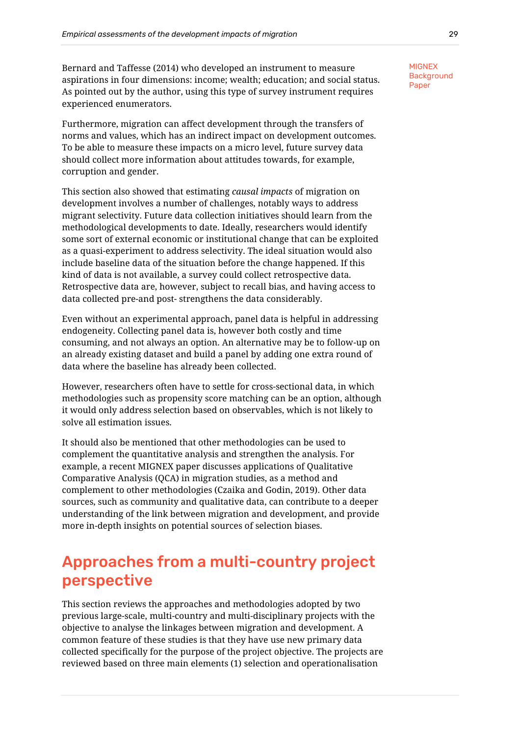Bernard and Taffesse (2014) who developed an instrument to measure aspirations in four dimensions: income; wealth; education; and social status. As pointed out by the author, using this type of survey instrument requires experienced enumerators.

Furthermore, migration can affect development through the transfers of norms and values, which has an indirect impact on development outcomes. To be able to measure these impacts on a micro level, future survey data should collect more information about attitudes towards, for example, corruption and gender.

This section also showed that estimating *causal impacts* of migration on development involves a number of challenges, notably ways to address migrant selectivity. Future data collection initiatives should learn from the methodological developments to date. Ideally, researchers would identify some sort of external economic or institutional change that can be exploited as a quasi-experiment to address selectivity. The ideal situation would also include baseline data of the situation before the change happened. If this kind of data is not available, a survey could collect retrospective data. Retrospective data are, however, subject to recall bias, and having access to data collected pre-and post- strengthens the data considerably.

Even without an experimental approach, panel data is helpful in addressing endogeneity. Collecting panel data is, however both costly and time consuming, and not always an option. An alternative may be to follow-up on an already existing dataset and build a panel by adding one extra round of data where the baseline has already been collected.

However, researchers often have to settle for cross-sectional data, in which methodologies such as propensity score matching can be an option, although it would only address selection based on observables, which is not likely to solve all estimation issues.

It should also be mentioned that other methodologies can be used to complement the quantitative analysis and strengthen the analysis. For example, a recent MIGNEX paper discusses applications of Qualitative Comparative Analysis (QCA) in migration studies, as a method and complement to other methodologies (Czaika and Godin, 2019). Other data sources, such as community and qualitative data, can contribute to a deeper understanding of the link between migration and development, and provide more in-depth insights on potential sources of selection biases.

# <span id="page-31-0"></span>Approaches from a multi-country project perspective

This section reviews the approaches and methodologies adopted by two previous large-scale, multi-country and multi-disciplinary projects with the objective to analyse the linkages between migration and development. A common feature of these studies is that they have use new primary data collected specifically for the purpose of the project objective. The projects are reviewed based on three main elements (1) selection and operationalisation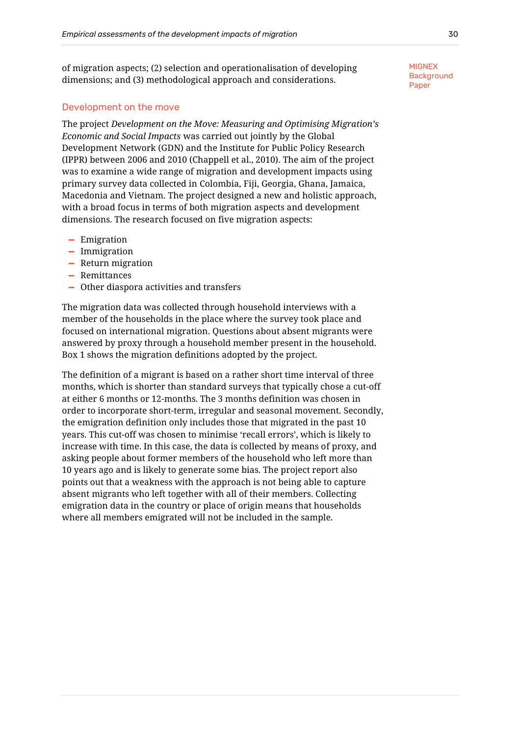of migration aspects; (2) selection and operationalisation of developing dimensions; and (3) methodological approach and considerations.

#### <span id="page-32-0"></span>Development on the move

The project *Development on the Move: Measuring and Optimising Migration's Economic and Social Impacts* was carried out jointly by the Global Development Network (GDN) and the Institute for Public Policy Research (IPPR) between 2006 and 2010 (Chappell et al., 2010). The aim of the project was to examine a wide range of migration and development impacts using primary survey data collected in Colombia, Fiji, Georgia, Ghana, Jamaica, Macedonia and Vietnam. The project designed a new and holistic approach, with a broad focus in terms of both migration aspects and development dimensions. The research focused on five migration aspects:

- **—** Emigration
- **—** Immigration
- **—** Return migration
- **—** Remittances
- **—** Other diaspora activities and transfers

The migration data was collected through household interviews with a member of the households in the place where the survey took place and focused on international migration. Questions about absent migrants were answered by proxy through a household member present in the household. [Box 1](#page-33-0) shows the migration definitions adopted by the project.

The definition of a migrant is based on a rather short time interval of three months, which is shorter than standard surveys that typically chose a cut-off at either 6 months or 12-months. The 3 months definition was chosen in order to incorporate short-term, irregular and seasonal movement. Secondly, the emigration definition only includes those that migrated in the past 10 years. This cut-off was chosen to minimise 'recall errors', which is likely to increase with time. In this case, the data is collected by means of proxy, and asking people about former members of the household who left more than 10 years ago and is likely to generate some bias. The project report also points out that a weakness with the approach is not being able to capture absent migrants who left together with all of their members. Collecting emigration data in the country or place of origin means that households where all members emigrated will not be included in the sample.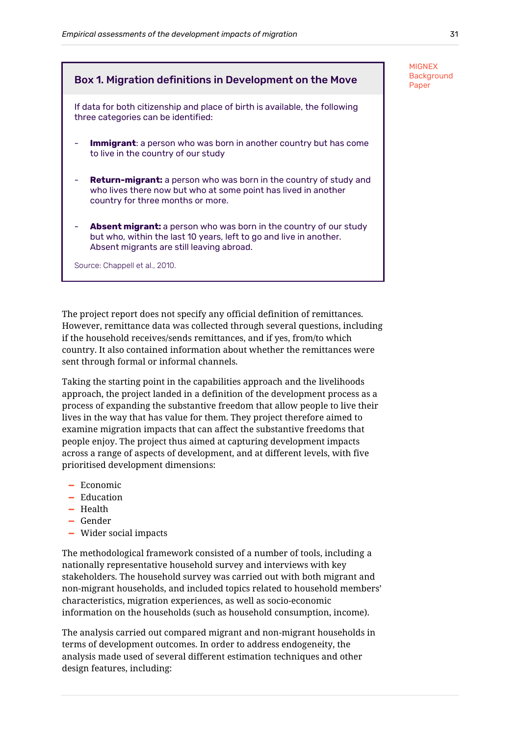# <span id="page-33-0"></span>Box 1. Migration definitions in Development on the Move  $\overline{P}_{\text{aper}}$

If data for both citizenship and place of birth is available, the following three categories can be identified:

- **Immigrant**: a person who was born in another country but has come to live in the country of our study
- **Return-migrant:** a person who was born in the country of study and who lives there now but who at some point has lived in another country for three months or more.
- Absent migrant: a person who was born in the country of our study but who, within the last 10 years, left to go and live in another. Absent migrants are still leaving abroad.

Source: Chappell et al., 2010.

The project report does not specify any official definition of remittances. However, remittance data was collected through several questions, including if the household receives/sends remittances, and if yes, from/to which country. It also contained information about whether the remittances were sent through formal or informal channels.

Taking the starting point in the capabilities approach and the livelihoods approach, the project landed in a definition of the development process as a process of expanding the substantive freedom that allow people to live their lives in the way that has value for them. They project therefore aimed to examine migration impacts that can affect the substantive freedoms that people enjoy. The project thus aimed at capturing development impacts across a range of aspects of development, and at different levels, with five prioritised development dimensions:

- **—** Economic
- **—** Education
- **—** Health
- **—** Gender
- **—** Wider social impacts

The methodological framework consisted of a number of tools, including a nationally representative household survey and interviews with key stakeholders. The household survey was carried out with both migrant and non-migrant households, and included topics related to household members' characteristics, migration experiences, as well as socio-economic information on the households (such as household consumption, income).

The analysis carried out compared migrant and non-migrant households in terms of development outcomes. In order to address endogeneity, the analysis made used of several different estimation techniques and other design features, including:

**MIGNEX Background**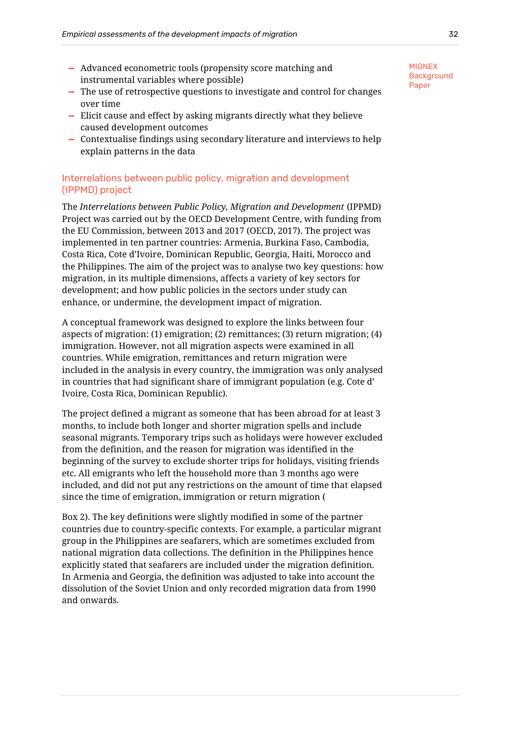- **—** Advanced econometric tools (propensity score matching and instrumental variables where possible)
- **—** The use of retrospective questions to investigate and control for changes over time
- **—** Elicit cause and effect by asking migrants directly what they believe caused development outcomes
- **—** Contextualise findings using secondary literature and interviews to help explain patterns in the data

## <span id="page-34-0"></span>Interrelations between public policy, migration and development (IPPMD) project

The *Interrelations between Public Policy, Migration and Development* (IPPMD) Project was carried out by the OECD Development Centre, with funding from the EU Commission, between 2013 and 2017 (OECD, 2017). The project was implemented in ten partner countries: Armenia, Burkina Faso, Cambodia, Costa Rica, Cote d'Ivoire, Dominican Republic, Georgia, Haiti, Morocco and the Philippines. The aim of the project was to analyse two key questions: how migration, in its multiple dimensions, affects a variety of key sectors for development; and how public policies in the sectors under study can enhance, or undermine, the development impact of migration.

A conceptual framework was designed to explore the links between four aspects of migration: (1) emigration; (2) remittances; (3) return migration; (4) immigration. However, not all migration aspects were examined in all countries. While emigration, remittances and return migration were included in the analysis in every country, the immigration was only analysed in countries that had significant share of immigrant population (e.g. Cote d' Ivoire, Costa Rica, Dominican Republic).

The project defined a migrant as someone that has been abroad for at least 3 months, to include both longer and shorter migration spells and include seasonal migrants. Temporary trips such as holidays were however excluded from the definition, and the reason for migration was identified in the beginning of the survey to exclude shorter trips for holidays, visiting friends etc. All emigrants who left the household more than 3 months ago were included, and did not put any restrictions on the amount of time that elapsed since the time of emigration, immigration or return migration [\(](#page-34-1)

<span id="page-34-1"></span>[Box 2\)](#page-34-1). The key definitions were slightly modified in some of the partner countries due to country-specific contexts. For example, a particular migrant group in the Philippines are seafarers, which are sometimes excluded from national migration data collections. The definition in the Philippines hence explicitly stated that seafarers are included under the migration definition. In Armenia and Georgia, the definition was adjusted to take into account the dissolution of the Soviet Union and only recorded migration data from 1990 and onwards.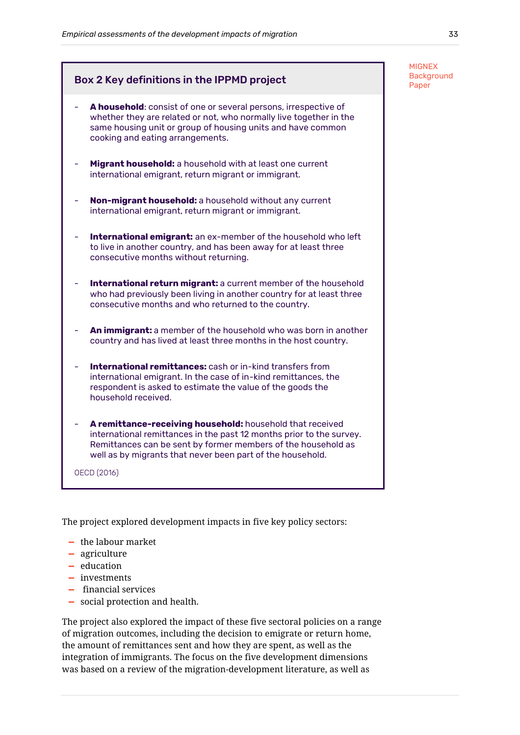MIGNEX **Background** 

# Box 2 Key definitions in the IPPMD project  $\begin{bmatrix} \text{Back} \textbf{g} \ \text{Paper} \end{bmatrix}$ A household: consist of one or several persons, irrespective of whether they are related or not, who normally live together in the same housing unit or group of housing units and have common cooking and eating arrangements. Migrant household: a household with at least one current international emigrant, return migrant or immigrant. **Non-migrant household:** a household without any current international emigrant, return migrant or immigrant. - **International emigrant:** an ex-member of the household who left to live in another country, and has been away for at least three consecutive months without returning. **International return migrant:** a current member of the household who had previously been living in another country for at least three consecutive months and who returned to the country. An immigrant: a member of the household who was born in another country and has lived at least three months in the host country. **International remittances:** cash or in-kind transfers from international emigrant. In the case of in-kind remittances, the respondent is asked to estimate the value of the goods the household received. A remittance-receiving household: household that received international remittances in the past 12 months prior to the survey. Remittances can be sent by former members of the household as well as by migrants that never been part of the household.

OECD (2016)

The project explored development impacts in five key policy sectors:

- **—** the labour market
- **—** agriculture
- **—** education
- **—** investments
- **—** financial services
- **—** social protection and health.

The project also explored the impact of these five sectoral policies on a range of migration outcomes, including the decision to emigrate or return home, the amount of remittances sent and how they are spent, as well as the integration of immigrants. The focus on the five development dimensions was based on a review of the migration-development literature, as well as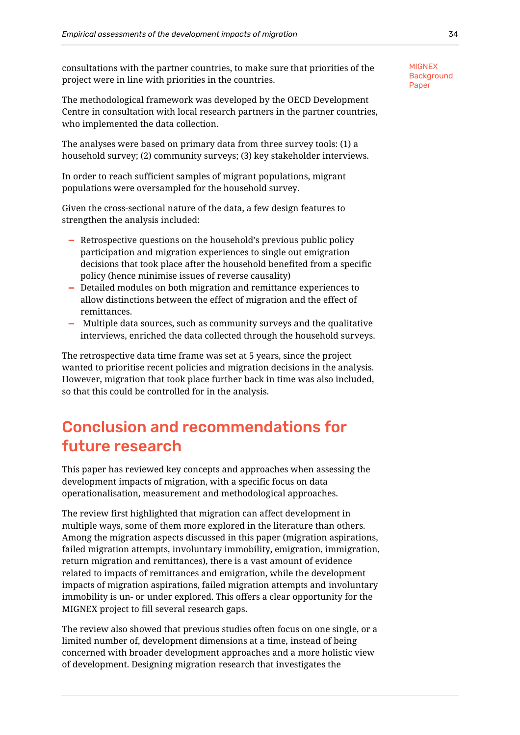consultations with the partner countries, to make sure that priorities of the project were in line with priorities in the countries.

The methodological framework was developed by the OECD Development Centre in consultation with local research partners in the partner countries, who implemented the data collection.

The analyses were based on primary data from three survey tools: (1) a household survey; (2) community surveys; (3) key stakeholder interviews.

In order to reach sufficient samples of migrant populations, migrant populations were oversampled for the household survey.

Given the cross-sectional nature of the data, a few design features to strengthen the analysis included:

- **—** Retrospective questions on the household's previous public policy participation and migration experiences to single out emigration decisions that took place after the household benefited from a specific policy (hence minimise issues of reverse causality)
- **—** Detailed modules on both migration and remittance experiences to allow distinctions between the effect of migration and the effect of remittances.
- **—** Multiple data sources, such as community surveys and the qualitative interviews, enriched the data collected through the household surveys.

The retrospective data time frame was set at 5 years, since the project wanted to prioritise recent policies and migration decisions in the analysis. However, migration that took place further back in time was also included, so that this could be controlled for in the analysis.

# <span id="page-36-0"></span>Conclusion and recommendations for future research

This paper has reviewed key concepts and approaches when assessing the development impacts of migration, with a specific focus on data operationalisation, measurement and methodological approaches.

The review first highlighted that migration can affect development in multiple ways, some of them more explored in the literature than others. Among the migration aspects discussed in this paper (migration aspirations, failed migration attempts, involuntary immobility, emigration, immigration, return migration and remittances), there is a vast amount of evidence related to impacts of remittances and emigration, while the development impacts of migration aspirations, failed migration attempts and involuntary immobility is un- or under explored. This offers a clear opportunity for the MIGNEX project to fill several research gaps.

The review also showed that previous studies often focus on one single, or a limited number of, development dimensions at a time, instead of being concerned with broader development approaches and a more holistic view of development. Designing migration research that investigates the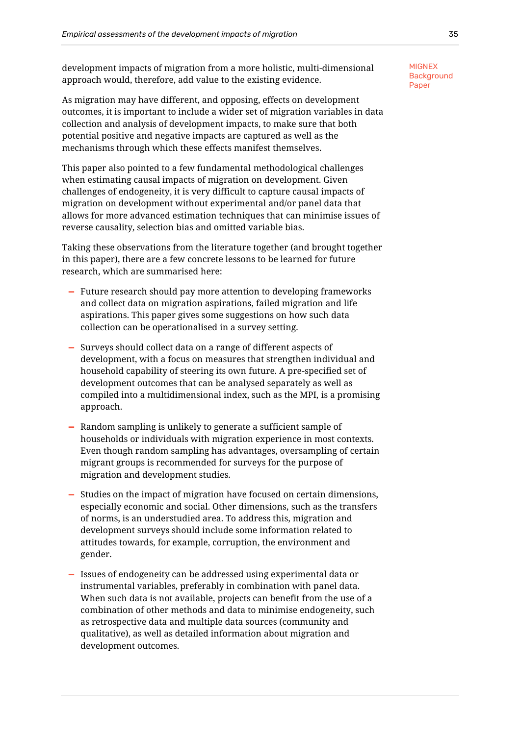development impacts of migration from a more holistic, multi-dimensional approach would, therefore, add value to the existing evidence.

As migration may have different, and opposing, effects on development outcomes, it is important to include a wider set of migration variables in data collection and analysis of development impacts, to make sure that both potential positive and negative impacts are captured as well as the mechanisms through which these effects manifest themselves.

This paper also pointed to a few fundamental methodological challenges when estimating causal impacts of migration on development. Given challenges of endogeneity, it is very difficult to capture causal impacts of migration on development without experimental and/or panel data that allows for more advanced estimation techniques that can minimise issues of reverse causality, selection bias and omitted variable bias.

Taking these observations from the literature together (and brought together in this paper), there are a few concrete lessons to be learned for future research, which are summarised here:

- **—** Future research should pay more attention to developing frameworks and collect data on migration aspirations, failed migration and life aspirations. This paper gives some suggestions on how such data collection can be operationalised in a survey setting.
- **—** Surveys should collect data on a range of different aspects of development, with a focus on measures that strengthen individual and household capability of steering its own future. A pre-specified set of development outcomes that can be analysed separately as well as compiled into a multidimensional index, such as the MPI, is a promising approach.
- **—** Random sampling is unlikely to generate a sufficient sample of households or individuals with migration experience in most contexts. Even though random sampling has advantages, oversampling of certain migrant groups is recommended for surveys for the purpose of migration and development studies.
- **—** Studies on the impact of migration have focused on certain dimensions, especially economic and social. Other dimensions, such as the transfers of norms, is an understudied area. To address this, migration and development surveys should include some information related to attitudes towards, for example, corruption, the environment and gender.
- **—** Issues of endogeneity can be addressed using experimental data or instrumental variables, preferably in combination with panel data. When such data is not available, projects can benefit from the use of a combination of other methods and data to minimise endogeneity, such as retrospective data and multiple data sources (community and qualitative), as well as detailed information about migration and development outcomes.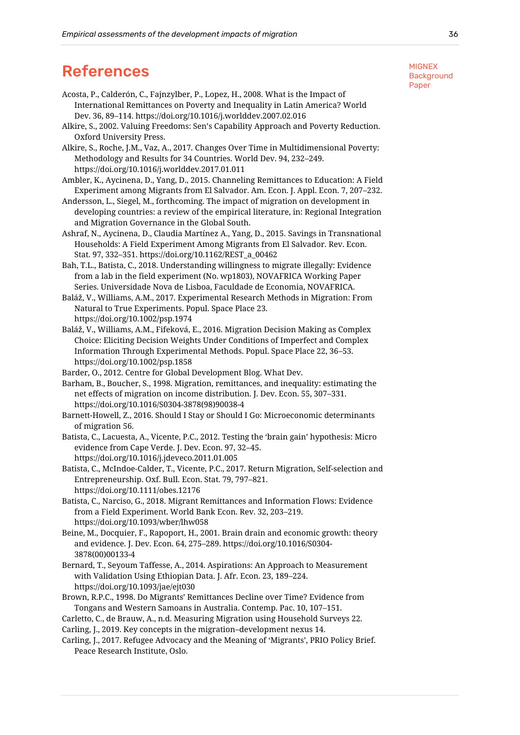# <span id="page-38-0"></span>References

- Acosta, P., Calderón, C., Fajnzylber, P., Lopez, H., 2008. What is the Impact of International Remittances on Poverty and Inequality in Latin America? World Dev. 36, 89–114. https://doi.org/10.1016/j.worlddev.2007.02.016
- Alkire, S., 2002. Valuing Freedoms: Sen's Capability Approach and Poverty Reduction. Oxford University Press.
- Alkire, S., Roche, J.M., Vaz, A., 2017. Changes Over Time in Multidimensional Poverty: Methodology and Results for 34 Countries. World Dev. 94, 232–249. https://doi.org/10.1016/j.worlddev.2017.01.011
- Ambler, K., Aycinena, D., Yang, D., 2015. Channeling Remittances to Education: A Field Experiment among Migrants from El Salvador. Am. Econ. J. Appl. Econ. 7, 207–232.
- Andersson, L., Siegel, M., forthcoming. The impact of migration on development in developing countries: a review of the empirical literature, in: Regional Integration and Migration Governance in the Global South.
- Ashraf, N., Aycinena, D., Claudia Martínez A., Yang, D., 2015. Savings in Transnational Households: A Field Experiment Among Migrants from El Salvador. Rev. Econ. Stat. 97, 332–351. https://doi.org/10.1162/REST\_a\_00462
- Bah, T.L., Batista, C., 2018. Understanding willingness to migrate illegally: Evidence from a lab in the field experiment (No. wp1803), NOVAFRICA Working Paper Series. Universidade Nova de Lisboa, Faculdade de Economia, NOVAFRICA.
- Baláž, V., Williams, A.M., 2017. Experimental Research Methods in Migration: From Natural to True Experiments. Popul. Space Place 23. https://doi.org/10.1002/psp.1974
- Baláž, V., Williams, A.M., Fifeková, E., 2016. Migration Decision Making as Complex Choice: Eliciting Decision Weights Under Conditions of Imperfect and Complex Information Through Experimental Methods. Popul. Space Place 22, 36–53. https://doi.org/10.1002/psp.1858
- Barder, O., 2012. Centre for Global Development Blog. What Dev.
- Barham, B., Boucher, S., 1998. Migration, remittances, and inequality: estimating the net effects of migration on income distribution. J. Dev. Econ. 55, 307–331. https://doi.org/10.1016/S0304-3878(98)90038-4
- Barnett-Howell, Z., 2016. Should I Stay or Should I Go: Microeconomic determinants of migration 56.
- Batista, C., Lacuesta, A., Vicente, P.C., 2012. Testing the 'brain gain' hypothesis: Micro evidence from Cape Verde. J. Dev. Econ. 97, 32–45. https://doi.org/10.1016/j.jdeveco.2011.01.005
- Batista, C., McIndoe‐Calder, T., Vicente, P.C., 2017. Return Migration, Self-selection and Entrepreneurship. Oxf. Bull. Econ. Stat. 79, 797–821. https://doi.org/10.1111/obes.12176
- Batista, C., Narciso, G., 2018. Migrant Remittances and Information Flows: Evidence from a Field Experiment. World Bank Econ. Rev. 32, 203–219. https://doi.org/10.1093/wber/lhw058
- Beine, M., Docquier, F., Rapoport, H., 2001. Brain drain and economic growth: theory and evidence. J. Dev. Econ. 64, 275–289. https://doi.org/10.1016/S0304- 3878(00)00133-4
- Bernard, T., Seyoum Taffesse, A., 2014. Aspirations: An Approach to Measurement with Validation Using Ethiopian Data. J. Afr. Econ. 23, 189–224. https://doi.org/10.1093/jae/ejt030
- Brown, R.P.C., 1998. Do Migrants' Remittances Decline over Time? Evidence from Tongans and Western Samoans in Australia. Contemp. Pac. 10, 107–151.
- Carletto, C., de Brauw, A., n.d. Measuring Migration using Household Surveys 22.
- Carling, J., 2019. Key concepts in the migration–development nexus 14.
- Carling, J., 2017. Refugee Advocacy and the Meaning of 'Migrants', PRIO Policy Brief. Peace Research Institute, Oslo.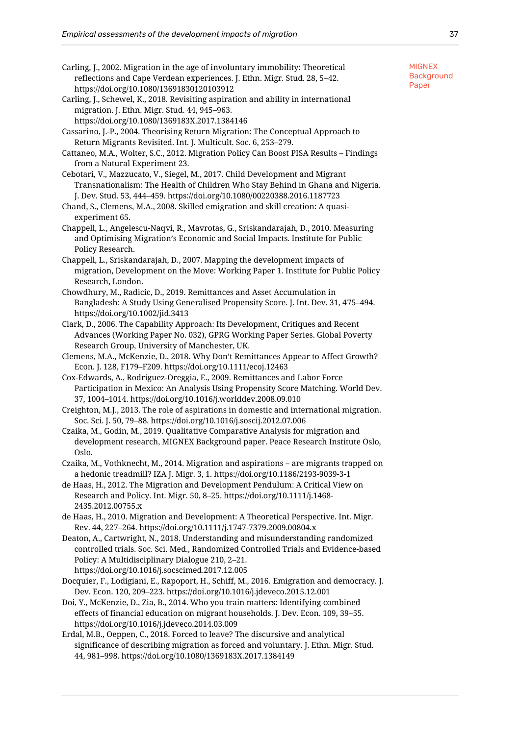- Carling, J., 2002. Migration in the age of involuntary immobility: Theoretical reflections and Cape Verdean experiences. J. Ethn. Migr. Stud. 28, 5–42. https://doi.org/10.1080/13691830120103912
- Carling, J., Schewel, K., 2018. Revisiting aspiration and ability in international migration. J. Ethn. Migr. Stud. 44, 945–963.

https://doi.org/10.1080/1369183X.2017.1384146

Cassarino, J.-P., 2004. Theorising Return Migration: The Conceptual Approach to Return Migrants Revisited. Int. J. Multicult. Soc. 6, 253–279.

- Cattaneo, M.A., Wolter, S.C., 2012. Migration Policy Can Boost PISA Results Findings from a Natural Experiment 23.
- Cebotari, V., Mazzucato, V., Siegel, M., 2017. Child Development and Migrant Transnationalism: The Health of Children Who Stay Behind in Ghana and Nigeria. J. Dev. Stud. 53, 444–459. https://doi.org/10.1080/00220388.2016.1187723
- Chand, S., Clemens, M.A., 2008. Skilled emigration and skill creation: A quasiexperiment 65.
- Chappell, L., Angelescu-Naqvi, R., Mavrotas, G., Sriskandarajah, D., 2010. Measuring and Optimising Migration's Economic and Social Impacts. Institute for Public Policy Research.
- Chappell, L., Sriskandarajah, D., 2007. Mapping the development impacts of migration, Development on the Move: Working Paper 1. Institute for Public Policy Research, London.
- Chowdhury, M., Radicic, D., 2019. Remittances and Asset Accumulation in Bangladesh: A Study Using Generalised Propensity Score. J. Int. Dev. 31, 475–494. https://doi.org/10.1002/jid.3413
- Clark, D., 2006. The Capability Approach: Its Development, Critiques and Recent Advances (Working Paper No. 032), GPRG Working Paper Series. Global Poverty Research Group, University of Manchester, UK.

Clemens, M.A., McKenzie, D., 2018. Why Don't Remittances Appear to Affect Growth? Econ. J. 128, F179–F209. https://doi.org/10.1111/ecoj.12463

Cox-Edwards, A., Rodríguez-Oreggia, E., 2009. Remittances and Labor Force Participation in Mexico: An Analysis Using Propensity Score Matching. World Dev. 37, 1004–1014. https://doi.org/10.1016/j.worlddev.2008.09.010

Creighton, M.J., 2013. The role of aspirations in domestic and international migration. Soc. Sci. J. 50, 79–88. https://doi.org/10.1016/j.soscij.2012.07.006

Czaika, M., Godin, M., 2019. Qualitative Comparative Analysis for migration and development research, MIGNEX Background paper. Peace Research Institute Oslo, Oslo.

Czaika, M., Vothknecht, M., 2014. Migration and aspirations – are migrants trapped on a hedonic treadmill? IZA J. Migr. 3, 1. https://doi.org/10.1186/2193-9039-3-1

de Haas, H., 2012. The Migration and Development Pendulum: A Critical View on Research and Policy. Int. Migr. 50, 8–25. https://doi.org/10.1111/j.1468- 2435.2012.00755.x

de Haas, H., 2010. Migration and Development: A Theoretical Perspective. Int. Migr. Rev. 44, 227–264. https://doi.org/10.1111/j.1747-7379.2009.00804.x

Deaton, A., Cartwright, N., 2018. Understanding and misunderstanding randomized controlled trials. Soc. Sci. Med., Randomized Controlled Trials and Evidence-based Policy: A Multidisciplinary Dialogue 210, 2–21. https://doi.org/10.1016/j.socscimed.2017.12.005

Docquier, F., Lodigiani, E., Rapoport, H., Schiff, M., 2016. Emigration and democracy. J. Dev. Econ. 120, 209–223. https://doi.org/10.1016/j.jdeveco.2015.12.001

Doi, Y., McKenzie, D., Zia, B., 2014. Who you train matters: Identifying combined effects of financial education on migrant households. J. Dev. Econ. 109, 39–55. https://doi.org/10.1016/j.jdeveco.2014.03.009

Erdal, M.B., Oeppen, C., 2018. Forced to leave? The discursive and analytical significance of describing migration as forced and voluntary. J. Ethn. Migr. Stud. 44, 981–998. https://doi.org/10.1080/1369183X.2017.1384149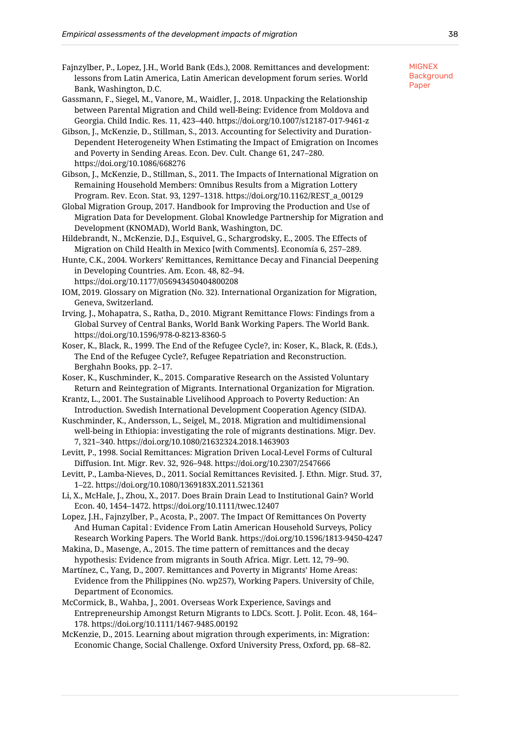- Fajnzylber, P., Lopez, J.H., World Bank (Eds.), 2008. Remittances and development: lessons from Latin America, Latin American development forum series. World Bank, Washington, D.C.
- Gassmann, F., Siegel, M., Vanore, M., Waidler, J., 2018. Unpacking the Relationship between Parental Migration and Child well-Being: Evidence from Moldova and Georgia. Child Indic. Res. 11, 423–440. https://doi.org/10.1007/s12187-017-9461-z
- Gibson, J., McKenzie, D., Stillman, S., 2013. Accounting for Selectivity and Duration-Dependent Heterogeneity When Estimating the Impact of Emigration on Incomes and Poverty in Sending Areas. Econ. Dev. Cult. Change 61, 247–280. https://doi.org/10.1086/668276

Gibson, J., McKenzie, D., Stillman, S., 2011. The Impacts of International Migration on Remaining Household Members: Omnibus Results from a Migration Lottery Program. Rev. Econ. Stat. 93, 1297–1318. https://doi.org/10.1162/REST\_a\_00129

- Global Migration Group, 2017. Handbook for Improving the Production and Use of Migration Data for Development. Global Knowledge Partnership for Migration and Development (KNOMAD), World Bank, Washington, DC.
- Hildebrandt, N., McKenzie, D.J., Esquivel, G., Schargrodsky, E., 2005. The Effects of Migration on Child Health in Mexico [with Comments]. Economía 6, 257–289.

Hunte, C.K., 2004. Workers' Remittances, Remittance Decay and Financial Deepening in Developing Countries. Am. Econ. 48, 82–94.

https://doi.org/10.1177/056943450404800208

IOM, 2019. Glossary on Migration (No. 32). International Organization for Migration, Geneva, Switzerland.

Irving, J., Mohapatra, S., Ratha, D., 2010. Migrant Remittance Flows: Findings from a Global Survey of Central Banks, World Bank Working Papers. The World Bank. https://doi.org/10.1596/978-0-8213-8360-5

Koser, K., Black, R., 1999. The End of the Refugee Cycle?, in: Koser, K., Black, R. (Eds.), The End of the Refugee Cycle?, Refugee Repatriation and Reconstruction. Berghahn Books, pp. 2–17.

Koser, K., Kuschminder, K., 2015. Comparative Research on the Assisted Voluntary Return and Reintegration of Migrants. International Organization for Migration.

Krantz, L., 2001. The Sustainable Livelihood Approach to Poverty Reduction: An Introduction. Swedish International Development Cooperation Agency (SIDA).

Kuschminder, K., Andersson, L., Seigel, M., 2018. Migration and multidimensional well-being in Ethiopia: investigating the role of migrants destinations. Migr. Dev. 7, 321–340. https://doi.org/10.1080/21632324.2018.1463903

Levitt, P., 1998. Social Remittances: Migration Driven Local-Level Forms of Cultural Diffusion. Int. Migr. Rev. 32, 926–948. https://doi.org/10.2307/2547666

Levitt, P., Lamba-Nieves, D., 2011. Social Remittances Revisited. J. Ethn. Migr. Stud. 37, 1–22. https://doi.org/10.1080/1369183X.2011.521361

Li, X., McHale, J., Zhou, X., 2017. Does Brain Drain Lead to Institutional Gain? World Econ. 40, 1454–1472. https://doi.org/10.1111/twec.12407

Lopez, J.H., Fajnzylber, P., Acosta, P., 2007. The Impact Of Remittances On Poverty And Human Capital : Evidence From Latin American Household Surveys, Policy Research Working Papers. The World Bank. https://doi.org/10.1596/1813-9450-4247

Makina, D., Masenge, A., 2015. The time pattern of remittances and the decay hypothesis: Evidence from migrants in South Africa. Migr. Lett. 12, 79–90.

Martínez, C., Yang, D., 2007. Remittances and Poverty in Migrants' Home Areas: Evidence from the Philippines (No. wp257), Working Papers. University of Chile, Department of Economics.

McCormick, B., Wahba, J., 2001. Overseas Work Experience, Savings and Entrepreneurship Amongst Return Migrants to LDCs. Scott. J. Polit. Econ. 48, 164– 178. https://doi.org/10.1111/1467-9485.00192

McKenzie, D., 2015. Learning about migration through experiments, in: Migration: Economic Change, Social Challenge. Oxford University Press, Oxford, pp. 68–82.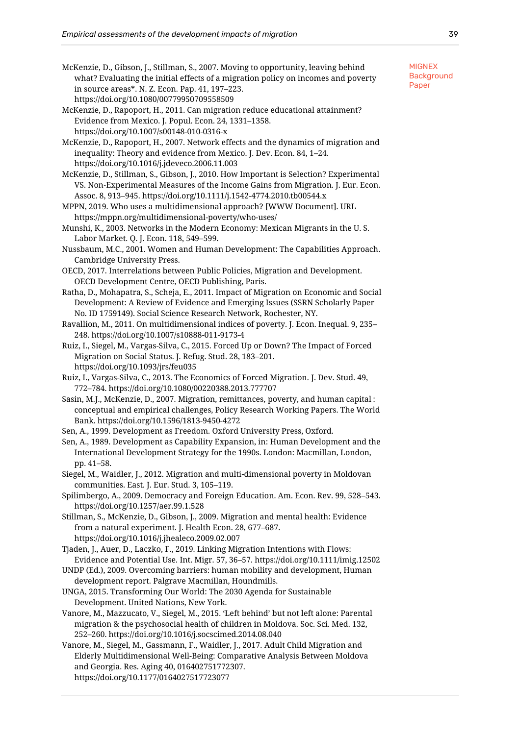- McKenzie, D., Gibson, J., Stillman, S., 2007. Moving to opportunity, leaving behind what? Evaluating the initial effects of a migration policy on incomes and poverty in source areas\*. N. Z. Econ. Pap. 41, 197–223. https://doi.org/10.1080/00779950709558509
- McKenzie, D., Rapoport, H., 2011. Can migration reduce educational attainment? Evidence from Mexico. J. Popul. Econ. 24, 1331–1358. https://doi.org/10.1007/s00148-010-0316-x

McKenzie, D., Rapoport, H., 2007. Network effects and the dynamics of migration and inequality: Theory and evidence from Mexico. J. Dev. Econ. 84, 1–24. https://doi.org/10.1016/j.jdeveco.2006.11.003

McKenzie, D., Stillman, S., Gibson, J., 2010. How Important is Selection? Experimental VS. Non‐Experimental Measures of the Income Gains from Migration. J. Eur. Econ. Assoc. 8, 913–945. https://doi.org/10.1111/j.1542-4774.2010.tb00544.x

MPPN, 2019. Who uses a multidimensional approach? [WWW Document]. URL https://mppn.org/multidimensional-poverty/who-uses/

Munshi, K., 2003. Networks in the Modern Economy: Mexican Migrants in the U. S. Labor Market. Q. J. Econ. 118, 549–599.

Nussbaum, M.C., 2001. Women and Human Development: The Capabilities Approach. Cambridge University Press.

OECD, 2017. Interrelations between Public Policies, Migration and Development. OECD Development Centre, OECD Publishing, Paris.

Ratha, D., Mohapatra, S., Scheja, E., 2011. Impact of Migration on Economic and Social Development: A Review of Evidence and Emerging Issues (SSRN Scholarly Paper No. ID 1759149). Social Science Research Network, Rochester, NY.

Ravallion, M., 2011. On multidimensional indices of poverty. J. Econ. Inequal. 9, 235– 248. https://doi.org/10.1007/s10888-011-9173-4

Ruiz, I., Siegel, M., Vargas-Silva, C., 2015. Forced Up or Down? The Impact of Forced Migration on Social Status. J. Refug. Stud. 28, 183–201. https://doi.org/10.1093/jrs/feu035

Ruiz, I., Vargas-Silva, C., 2013. The Economics of Forced Migration. J. Dev. Stud. 49, 772–784. https://doi.org/10.1080/00220388.2013.777707

Sasin, M.J., McKenzie, D., 2007. Migration, remittances, poverty, and human capital : conceptual and empirical challenges, Policy Research Working Papers. The World Bank. https://doi.org/10.1596/1813-9450-4272

Sen, A., 1999. Development as Freedom. Oxford University Press, Oxford.

Sen, A., 1989. Development as Capability Expansion, in: Human Development and the International Development Strategy for the 1990s. London: Macmillan, London, pp. 41–58.

Siegel, M., Waidler, J., 2012. Migration and multi-dimensional poverty in Moldovan communities. East. J. Eur. Stud. 3, 105–119.

Spilimbergo, A., 2009. Democracy and Foreign Education. Am. Econ. Rev. 99, 528–543. https://doi.org/10.1257/aer.99.1.528

Stillman, S., McKenzie, D., Gibson, J., 2009. Migration and mental health: Evidence from a natural experiment. J. Health Econ. 28, 677–687. https://doi.org/10.1016/j.jhealeco.2009.02.007

Tjaden, J., Auer, D., Laczko, F., 2019. Linking Migration Intentions with Flows: Evidence and Potential Use. Int. Migr. 57, 36–57. https://doi.org/10.1111/imig.12502

UNDP (Ed.), 2009. Overcoming barriers: human mobility and development, Human development report. Palgrave Macmillan, Houndmills.

UNGA, 2015. Transforming Our World: The 2030 Agenda for Sustainable Development. United Nations, New York.

Vanore, M., Mazzucato, V., Siegel, M., 2015. 'Left behind' but not left alone: Parental migration & the psychosocial health of children in Moldova. Soc. Sci. Med. 132, 252–260. https://doi.org/10.1016/j.socscimed.2014.08.040

Vanore, M., Siegel, M., Gassmann, F., Waidler, J., 2017. Adult Child Migration and Elderly Multidimensional Well-Being: Comparative Analysis Between Moldova and Georgia. Res. Aging 40, 016402751772307. https://doi.org/10.1177/0164027517723077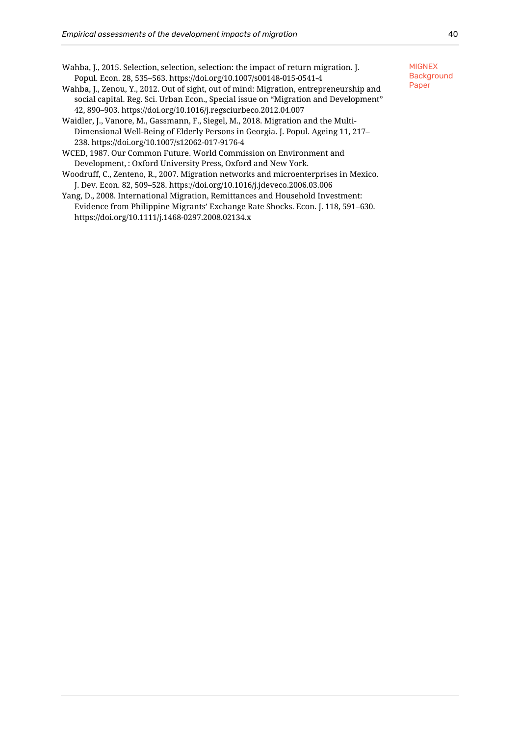- Wahba, J., 2015. Selection, selection, selection: the impact of return migration. J. Popul. Econ. 28, 535–563. https://doi.org/10.1007/s00148-015-0541-4
- Wahba, J., Zenou, Y., 2012. Out of sight, out of mind: Migration, entrepreneurship and social capital. Reg. Sci. Urban Econ., Special issue on "Migration and Development" 42, 890–903. https://doi.org/10.1016/j.regsciurbeco.2012.04.007
- Waidler, J., Vanore, M., Gassmann, F., Siegel, M., 2018. Migration and the Multi-Dimensional Well-Being of Elderly Persons in Georgia. J. Popul. Ageing 11, 217– 238. https://doi.org/10.1007/s12062-017-9176-4
- WCED, 1987. Our Common Future. World Commission on Environment and Development, : Oxford University Press, Oxford and New York.
- Woodruff, C., Zenteno, R., 2007. Migration networks and microenterprises in Mexico. J. Dev. Econ. 82, 509–528. https://doi.org/10.1016/j.jdeveco.2006.03.006
- Yang, D., 2008. International Migration, Remittances and Household Investment: Evidence from Philippine Migrants' Exchange Rate Shocks. Econ. J. 118, 591–630. https://doi.org/10.1111/j.1468-0297.2008.02134.x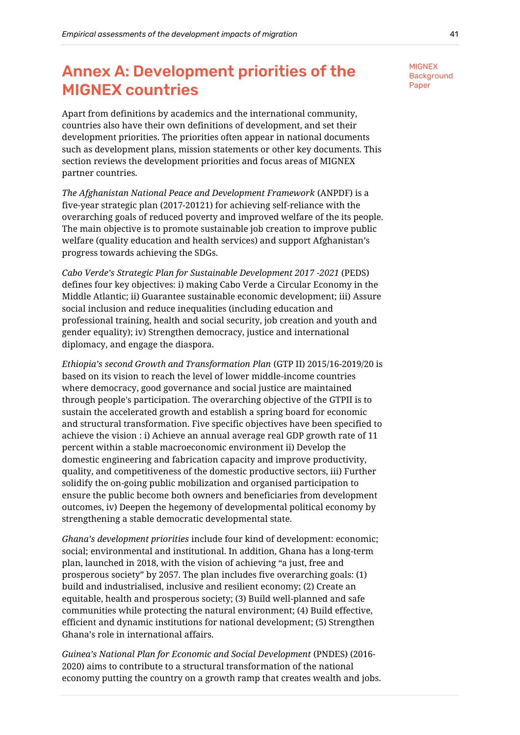# <span id="page-43-0"></span>Annex A: Development priorities of the MIGNEX countries

Apart from definitions by academics and the international community, countries also have their own definitions of development, and set their development priorities. The priorities often appear in national documents such as development plans, mission statements or other key documents. This section reviews the development priorities and focus areas of MIGNEX partner countries.

*The Afghanistan National Peace and Development Framework* (ANPDF) is a five-year strategic plan (2017-20121) for achieving self-reliance with the overarching goals of reduced poverty and improved welfare of the its people. The main objective is to promote sustainable job creation to improve public welfare (quality education and health services) and support Afghanistan's progress towards achieving the SDGs.

*Cabo Verde's Strategic Plan for Sustainable Development 2017 -2021* (PEDS) defines four key objectives: i) making Cabo Verde a Circular Economy in the Middle Atlantic; ii) Guarantee sustainable economic development; iii) Assure social inclusion and reduce inequalities (including education and professional training, health and social security, job creation and youth and gender equality); iv) Strengthen democracy, justice and international diplomacy, and engage the diaspora.

*Ethiopia's second Growth and Transformation Plan* (GTP II) 2015/16-2019/20 is based on its vision to reach the level of lower middle-income countries where democracy, good governance and social justice are maintained through people's participation. The overarching objective of the GTPII is to sustain the accelerated growth and establish a spring board for economic and structural transformation. Five specific objectives have been specified to achieve the vision : i) Achieve an annual average real GDP growth rate of 11 percent within a stable macroeconomic environment ii) Develop the domestic engineering and fabrication capacity and improve productivity, quality, and competitiveness of the domestic productive sectors, iii) Further solidify the on-going public mobilization and organised participation to ensure the public become both owners and beneficiaries from development outcomes, iv) Deepen the hegemony of developmental political economy by strengthening a stable democratic developmental state.

*Ghana's development priorities* include four kind of development: economic; social; environmental and institutional. In addition, Ghana has a long-term plan, launched in 2018, with the vision of achieving "a just, free and prosperous society" by 2057. The plan includes five overarching goals: (1) build and industrialised, inclusive and resilient economy; (2) Create an equitable, health and prosperous society; (3) Build well-planned and safe communities while protecting the natural environment; (4) Build effective, efficient and dynamic institutions for national development; (5) Strengthen Ghana's role in international affairs.

*Guinea's National Plan for Economic and Social Development* (PNDES) (2016- 2020) aims to contribute to a structural transformation of the national economy putting the country on a growth ramp that creates wealth and jobs.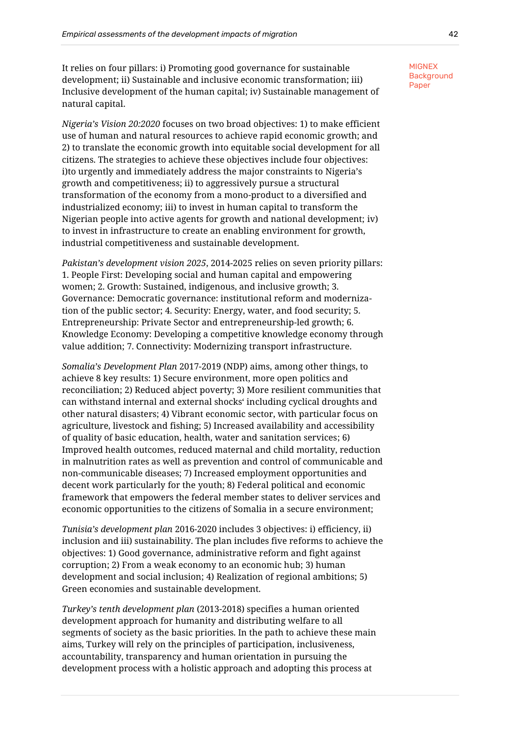It relies on four pillars: i) Promoting good governance for sustainable development; ii) Sustainable and inclusive economic transformation; iii) Inclusive development of the human capital; iv) Sustainable management of natural capital.

*Nigeria's Vision 20:2020* focuses on two broad objectives: 1) to make efficient use of human and natural resources to achieve rapid economic growth; and 2) to translate the economic growth into equitable social development for all citizens. The strategies to achieve these objectives include four objectives: i)to urgently and immediately address the major constraints to Nigeria's growth and competitiveness; ii) to aggressively pursue a structural transformation of the economy from a mono-product to a diversified and industrialized economy; iii) to invest in human capital to transform the Nigerian people into active agents for growth and national development; iv) to invest in infrastructure to create an enabling environment for growth, industrial competitiveness and sustainable development.

*Pakistan's development vision 2025*, 2014-2025 relies on seven priority pillars: 1. People First: Developing social and human capital and empowering women; 2. Growth: Sustained, indigenous, and inclusive growth; 3. Governance: Democratic governance: institutional reform and modernization of the public sector; 4. Security: Energy, water, and food security; 5. Entrepreneurship: Private Sector and entrepreneurship-led growth; 6. Knowledge Economy: Developing a competitive knowledge economy through value addition; 7. Connectivity: Modernizing transport infrastructure.

*Somalia's Development Plan* 2017-2019 (NDP) aims, among other things, to achieve 8 key results: 1) Secure environment, more open politics and reconciliation; 2) Reduced abject poverty; 3) More resilient communities that can withstand internal and external shocks' including cyclical droughts and other natural disasters; 4) Vibrant economic sector, with particular focus on agriculture, livestock and fishing; 5) Increased availability and accessibility of quality of basic education, health, water and sanitation services; 6) Improved health outcomes, reduced maternal and child mortality, reduction in malnutrition rates as well as prevention and control of communicable and non-communicable diseases; 7) Increased employment opportunities and decent work particularly for the youth; 8) Federal political and economic framework that empowers the federal member states to deliver services and economic opportunities to the citizens of Somalia in a secure environment;

*Tunisia's development plan* 2016-2020 includes 3 objectives: i) efficiency, ii) inclusion and iii) sustainability. The plan includes five reforms to achieve the objectives: 1) Good governance, administrative reform and fight against corruption; 2) From a weak economy to an economic hub; 3) human development and social inclusion; 4) Realization of regional ambitions; 5) Green economies and sustainable development.

*Turkey's tenth development plan* (2013-2018) specifies a human oriented development approach for humanity and distributing welfare to all segments of society as the basic priorities. In the path to achieve these main aims, Turkey will rely on the principles of participation, inclusiveness, accountability, transparency and human orientation in pursuing the development process with a holistic approach and adopting this process at